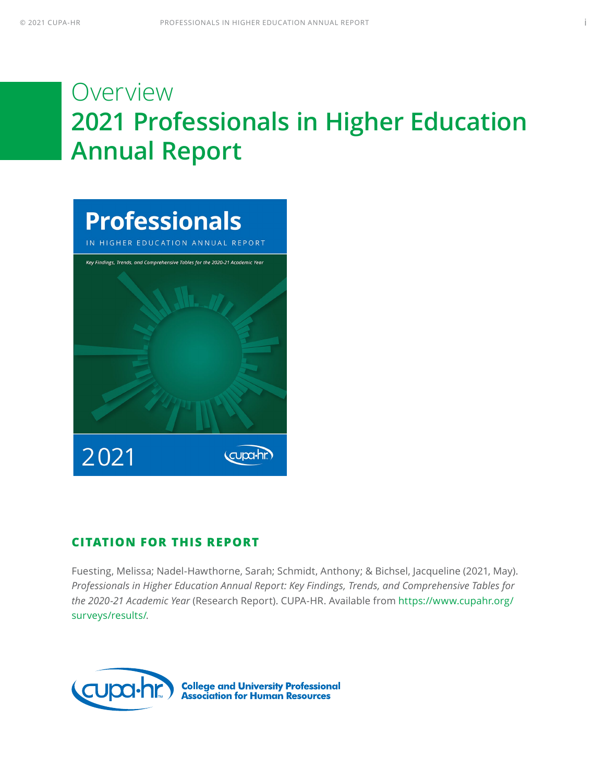# **Overview 2021 Professionals in Higher Education Annual Report**



### **CITATION FOR THIS REPORT**

Fuesting, Melissa; Nadel-Hawthorne, Sarah; Schmidt, Anthony; & Bichsel, Jacqueline (2021, May). *Professionals in Higher Education Annual Report: Key Findings, Trends, and Comprehensive Tables for the 2020-21 Academic Year* (Research Report). CUPA-HR. Available from [https://www.cupahr.org/](https://www.cupahr.org/surveys/results/) [surveys/results/.](https://www.cupahr.org/surveys/results/)

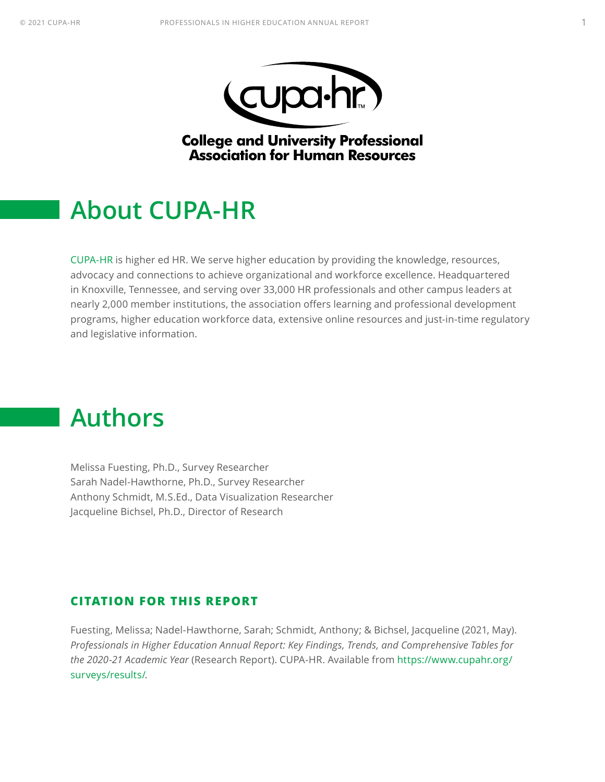



**College and University Professional Association for Human Resources** 

### <span id="page-1-0"></span>**About CUPA-HR**

[CUPA-HR](https://www.cupahr.org) is higher ed HR. We serve higher education by providing the knowledge, resources, advocacy and connections to achieve organizational and workforce excellence. Headquartered in Knoxville, Tennessee, and serving over 33,000 HR professionals and other campus leaders at nearly 2,000 member institutions, the association offers learning and professional development programs, higher education workforce data, extensive online resources and just-in-time regulatory and legislative information.

### **Authors**

Melissa Fuesting, Ph.D., Survey Researcher Sarah Nadel-Hawthorne, Ph.D., Survey Researcher Anthony Schmidt, M.S.Ed., Data Visualization Researcher Jacqueline Bichsel, Ph.D., Director of Research

#### **CITATION FOR THIS REPORT**

Fuesting, Melissa; Nadel-Hawthorne, Sarah; Schmidt, Anthony; & Bichsel, Jacqueline (2021, May). *Professionals in Higher Education Annual Report: Key Findings, Trends, and Comprehensive Tables for the 2020-21 Academic Year* (Research Report). CUPA-HR. Available from [https://www.cupahr.org/](https://www.cupahr.org/surveys/results/) [surveys/results/.](https://www.cupahr.org/surveys/results/)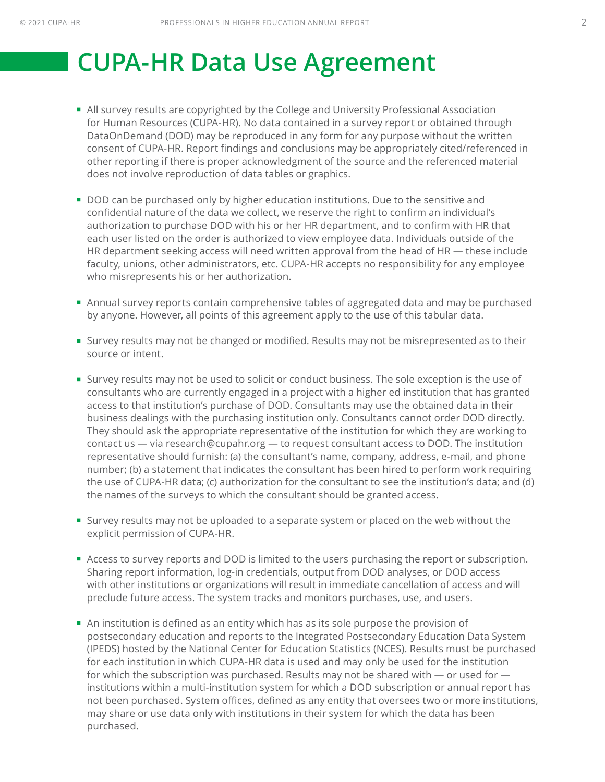# <span id="page-2-0"></span> **CUPA-HR Data Use Agreement**

- All survey results are copyrighted by the College and University Professional Association for Human Resources (CUPA-HR). No data contained in a survey report or obtained through DataOnDemand (DOD) may be reproduced in any form for any purpose without the written consent of CUPA-HR. Report findings and conclusions may be appropriately cited/referenced in other reporting if there is proper acknowledgment of the source and the referenced material does not involve reproduction of data tables or graphics.
- **DOD** can be purchased only by higher education institutions. Due to the sensitive and confidential nature of the data we collect, we reserve the right to confirm an individual's authorization to purchase DOD with his or her HR department, and to confirm with HR that each user listed on the order is authorized to view employee data. Individuals outside of the HR department seeking access will need written approval from the head of HR — these include faculty, unions, other administrators, etc. CUPA-HR accepts no responsibility for any employee who misrepresents his or her authorization.
- Annual survey reports contain comprehensive tables of aggregated data and may be purchased by anyone. However, all points of this agreement apply to the use of this tabular data.
- Survey results may not be changed or modified. Results may not be misrepresented as to their source or intent.
- Survey results may not be used to solicit or conduct business. The sole exception is the use of consultants who are currently engaged in a project with a higher ed institution that has granted access to that institution's purchase of DOD. Consultants may use the obtained data in their business dealings with the purchasing institution only. Consultants cannot order DOD directly. They should ask the appropriate representative of the institution for which they are working to contact us — via research@cupahr.org — to request consultant access to DOD. The institution representative should furnish: (a) the consultant's name, company, address, e-mail, and phone number; (b) a statement that indicates the consultant has been hired to perform work requiring the use of CUPA-HR data; (c) authorization for the consultant to see the institution's data; and (d) the names of the surveys to which the consultant should be granted access.
- Survey results may not be uploaded to a separate system or placed on the web without the explicit permission of CUPA-HR.
- **Access to survey reports and DOD is limited to the users purchasing the report or subscription.** Sharing report information, log-in credentials, output from DOD analyses, or DOD access with other institutions or organizations will result in immediate cancellation of access and will preclude future access. The system tracks and monitors purchases, use, and users.
- An institution is defined as an entity which has as its sole purpose the provision of postsecondary education and reports to the Integrated Postsecondary Education Data System (IPEDS) hosted by the National Center for Education Statistics (NCES). Results must be purchased for each institution in which CUPA-HR data is used and may only be used for the institution for which the subscription was purchased. Results may not be shared with — or used for institutions within a multi-institution system for which a DOD subscription or annual report has not been purchased. System offices, defined as any entity that oversees two or more institutions, may share or use data only with institutions in their system for which the data has been purchased.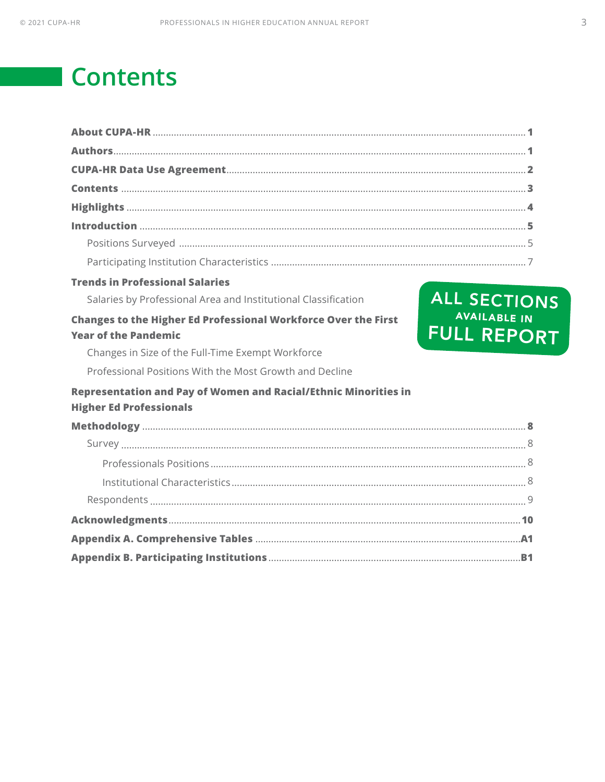# **Contents**

| <b>Trends in Professional Salaries</b>                                                               |                                           |
|------------------------------------------------------------------------------------------------------|-------------------------------------------|
| Salaries by Professional Area and Institutional Classification                                       | ALL SECTIONS                              |
| <b>Changes to the Higher Ed Professional Workforce Over the First</b><br><b>Year of the Pandemic</b> | <b>AVAILABLE IN</b><br><b>FULL REPORT</b> |
| Changes in Size of the Full-Time Exempt Workforce                                                    |                                           |
| Professional Positions With the Most Growth and Decline                                              |                                           |
| Representation and Pay of Women and Racial/Ethnic Minorities in<br><b>Higher Ed Professionals</b>    |                                           |
|                                                                                                      |                                           |
|                                                                                                      |                                           |
|                                                                                                      |                                           |
|                                                                                                      |                                           |
|                                                                                                      |                                           |
|                                                                                                      |                                           |
|                                                                                                      |                                           |
|                                                                                                      |                                           |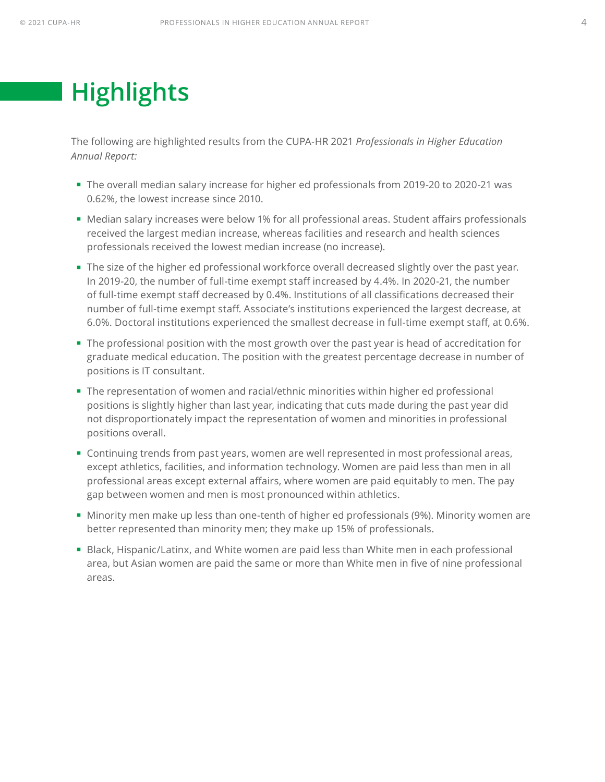# <span id="page-4-0"></span>**Highlights**

The following are highlighted results from the CUPA-HR 2021 *Professionals in Higher Education Annual Report:*

- The overall median salary increase for higher ed professionals from 2019-20 to 2020-21 was 0.62%, the lowest increase since 2010.
- Median salary increases were below 1% for all professional areas. Student affairs professionals received the largest median increase, whereas facilities and research and health sciences professionals received the lowest median increase (no increase).
- The size of the higher ed professional workforce overall decreased slightly over the past year. In 2019-20, the number of full-time exempt staff increased by 4.4%. In 2020-21, the number of full-time exempt staff decreased by 0.4%. Institutions of all classifications decreased their number of full-time exempt staff. Associate's institutions experienced the largest decrease, at 6.0%. Doctoral institutions experienced the smallest decrease in full-time exempt staff, at 0.6%.
- The professional position with the most growth over the past year is head of accreditation for graduate medical education. The position with the greatest percentage decrease in number of positions is IT consultant.
- The representation of women and racial/ethnic minorities within higher ed professional positions is slightly higher than last year, indicating that cuts made during the past year did not disproportionately impact the representation of women and minorities in professional positions overall.
- Continuing trends from past years, women are well represented in most professional areas, except athletics, facilities, and information technology. Women are paid less than men in all professional areas except external affairs, where women are paid equitably to men. The pay gap between women and men is most pronounced within athletics.
- Minority men make up less than one-tenth of higher ed professionals (9%). Minority women are better represented than minority men; they make up 15% of professionals.
- **Black, Hispanic/Latinx, and White women are paid less than White men in each professional** area, but Asian women are paid the same or more than White men in five of nine professional areas.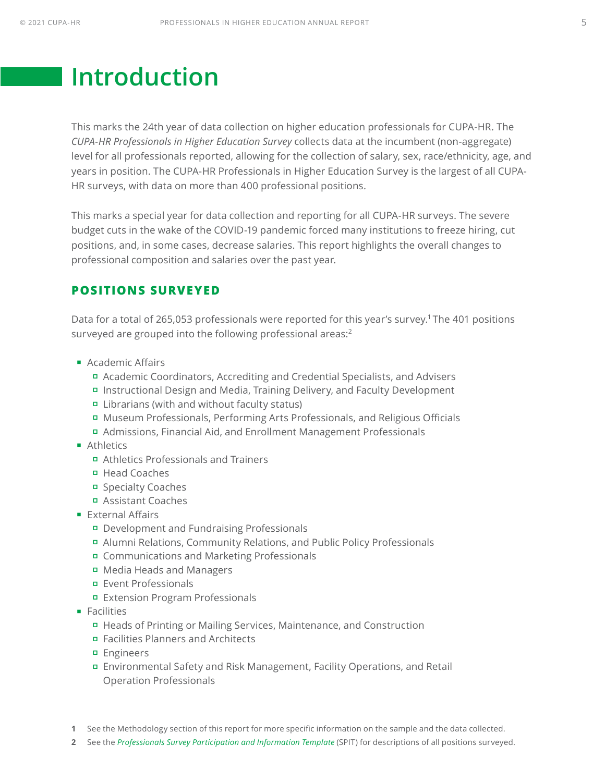## <span id="page-5-0"></span>**Introduction**

This marks the 24th year of data collection on higher education professionals for CUPA-HR. The *CUPA-HR Professionals in Higher Education Survey* collects data at the incumbent (non-aggregate) level for all professionals reported, allowing for the collection of salary, sex, race/ethnicity, age, and years in position. The CUPA-HR Professionals in Higher Education Survey is the largest of all CUPA-HR surveys, with data on more than 400 professional positions.

This marks a special year for data collection and reporting for all CUPA-HR surveys. The severe budget cuts in the wake of the COVID-19 pandemic forced many institutions to freeze hiring, cut positions, and, in some cases, decrease salaries. This report highlights the overall changes to professional composition and salaries over the past year.

### **POSITIONS SURVEYED**

Data for a total of 265,053 professionals were reported for this year's survey.<sup>1</sup> The 401 positions surveyed are grouped into the following professional areas:<sup>2</sup>

- **Academic Affairs** 
	- Academic Coordinators, Accrediting and Credential Specialists, and Advisers
	- Instructional Design and Media, Training Delivery, and Faculty Development
	- Librarians (with and without faculty status)
	- Museum Professionals, Performing Arts Professionals, and Religious Officials
	- Admissions, Financial Aid, and Enrollment Management Professionals
- **Athletics** 
	- Athletics Professionals and Trainers
	- Head Coaches
	- Specialty Coaches
	- Assistant Coaches
- **External Affairs** 
	- Development and Fundraising Professionals
	- Alumni Relations, Community Relations, and Public Policy Professionals
	- Communications and Marketing Professionals
	- Media Heads and Managers
	- Event Professionals
	- Extension Program Professionals
- **Facilities** 
	- Heads of Printing or Mailing Services, Maintenance, and Construction
	- Facilities Planners and Architects
	- **Engineers**
	- Environmental Safety and Risk Management, Facility Operations, and Retail Operation Professionals
- **1** See the Methodology section of this report for more specific information on the sample and the data collected.
- **2** See the *[Professionals Survey Participation and Information Template](https://www.cupahr.org/surveys/results/)* (SPIT) for descriptions of all positions surveyed.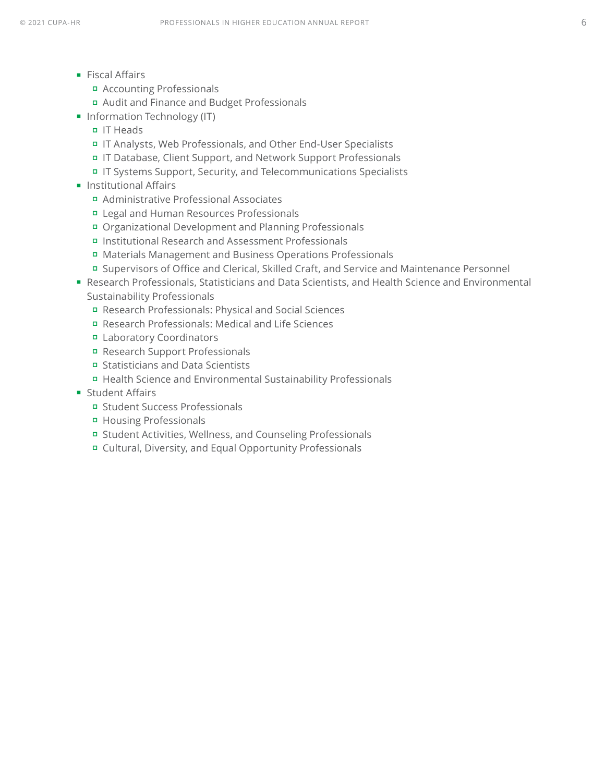- **Fiscal Affairs** 
	- Accounting Professionals
	- Audit and Finance and Budget Professionals
- **Information Technology (IT)** 
	- IT Heads
	- IT Analysts, Web Professionals, and Other End-User Specialists
	- IT Database, Client Support, and Network Support Professionals
	- IT Systems Support, Security, and Telecommunications Specialists
- **Institutional Affairs** 
	- Administrative Professional Associates
	- Legal and Human Resources Professionals
	- Organizational Development and Planning Professionals
	- Institutional Research and Assessment Professionals
	- Materials Management and Business Operations Professionals
	- Supervisors of Office and Clerical, Skilled Craft, and Service and Maintenance Personnel
- Research Professionals, Statisticians and Data Scientists, and Health Science and Environmental Sustainability Professionals
	- Research Professionals: Physical and Social Sciences
	- Research Professionals: Medical and Life Sciences
	- Laboratory Coordinators
	- Research Support Professionals
	- Statisticians and Data Scientists
	- Health Science and Environmental Sustainability Professionals
- **Student Affairs** 
	- Student Success Professionals
	- Housing Professionals
	- Student Activities, Wellness, and Counseling Professionals
	- Cultural, Diversity, and Equal Opportunity Professionals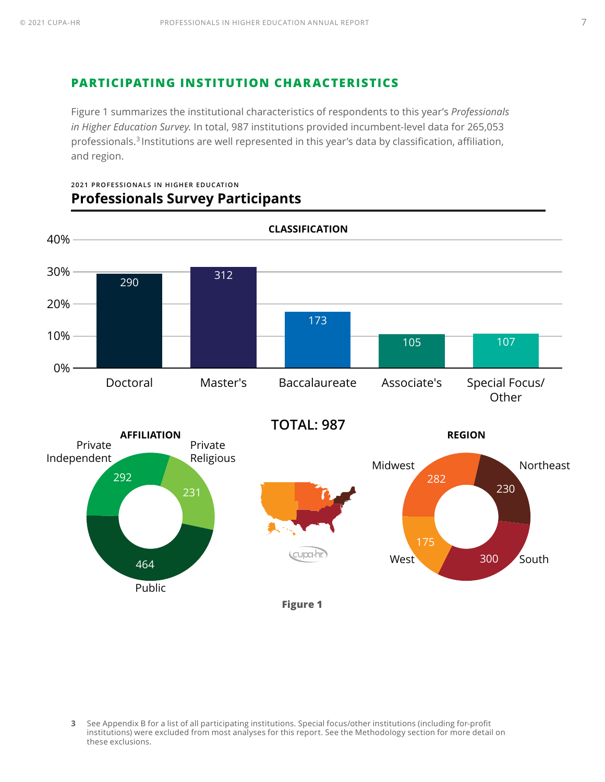### <span id="page-7-0"></span>**PARTICIPATING INSTITUTION CHARACTERISTICS**

Figure 1 summarizes the institutional characteristics of respondents to this year's *Professionals in Higher Education Survey.* In total, 987 institutions provided incumbent-level data for 265,053 professionals.<sup>3</sup> Institutions are well represented in this year's data by classification, affiliation, and region.



**2021 PROFESSIONALS IN HIGHER EDUCATION Professionals Survey Participants**

**<sup>3</sup>** See Appendix B for a list of all participating institutions. Special focus/other institutions (including for-profit institutions) were excluded from most analyses for this report. See the Methodology section for more detail on these exclusions.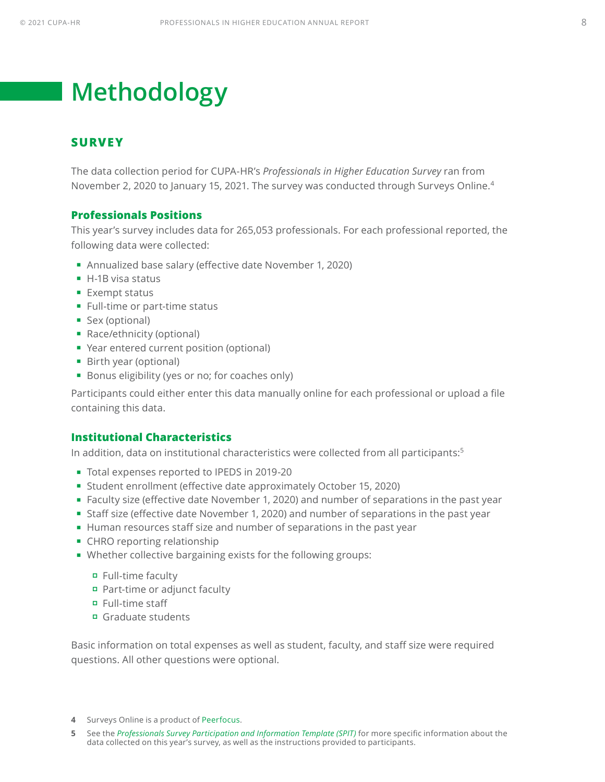# <span id="page-8-0"></span>**Methodology**

#### **SURVEY**

The data collection period for CUPA-HR's *Professionals in Higher Education Survey* ran from November 2, 2020 to January 15, 2021. The survey was conducted through Surveys Online.4

#### **Professionals Positions**

This year's survey includes data for 265,053 professionals. For each professional reported, the following data were collected:

- Annualized base salary (effective date November 1, 2020)
- $H$ -1B visa status
- **Exempt status**
- **Full-time or part-time status**
- Sex (optional)
- Race/ethnicity (optional)
- Year entered current position (optional)
- Birth year (optional)
- Bonus eligibility (yes or no; for coaches only)

Participants could either enter this data manually online for each professional or upload a file containing this data.

#### **Institutional Characteristics**

In addition, data on institutional characteristics were collected from all participants:<sup>5</sup>

- Total expenses reported to IPEDS in 2019-20
- Student enrollment (effective date approximately October 15, 2020)
- Faculty size (effective date November 1, 2020) and number of separations in the past year
- Staff size (effective date November 1, 2020) and number of separations in the past year
- Human resources staff size and number of separations in the past year
- **CHRO reporting relationship**
- Whether collective bargaining exists for the following groups:
	- Full-time faculty
	- Part-time or adjunct faculty
	- Full-time staff
	- Graduate students

Basic information on total expenses as well as student, faculty, and staff size were required questions. All other questions were optional.

- **4** Surveys Online is a product of [Peerfocus.](http://www.peerfocus.com/)
- **5** See the *[Professionals Survey Participation and Information Template](https://www.cupahr.org/surveys/results/) (SPIT)* for more specific information about the data collected on this year's survey, as well as the instructions provided to participants.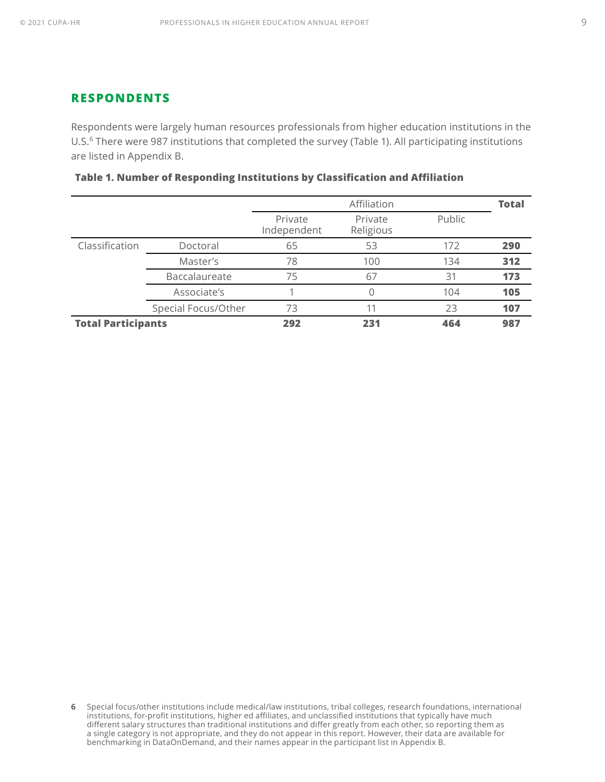#### <span id="page-9-0"></span>**RESPONDENTS**

Respondents were largely human resources professionals from higher education institutions in the U.S.<sup>6</sup> There were 987 institutions that completed the survey (Table 1). All participating institutions are listed in Appendix B.

|                           |                      | Affiliation            |                      |        | <b>Total</b> |
|---------------------------|----------------------|------------------------|----------------------|--------|--------------|
|                           |                      | Private<br>Independent | Private<br>Religious | Public |              |
| Classification            | Doctoral             | 65                     | 53                   | 172    | 290          |
|                           | Master's             | 78                     | 100                  | 134    | 312          |
|                           | <b>Baccalaureate</b> | 75                     | 67                   | 31     | 173          |
|                           | Associate's          |                        |                      | 104    | 105          |
|                           | Special Focus/Other  | 73                     |                      | 23     | 107          |
| <b>Total Participants</b> |                      | 292                    | 231                  | 464    | 987          |

|  |  |  |  | Table 1. Number of Responding Institutions by Classification and Affiliation |  |
|--|--|--|--|------------------------------------------------------------------------------|--|
|--|--|--|--|------------------------------------------------------------------------------|--|

**<sup>6</sup>** Special focus/other institutions include medical/law institutions, tribal colleges, research foundations, international institutions, for-profit institutions, higher ed affiliates, and unclassified institutions that typically have much different salary structures than traditional institutions and differ greatly from each other, so reporting them as a single category is not appropriate, and they do not appear in this report. However, their data are available for benchmarking in DataOnDemand, and their names appear in the participant list in Appendix B.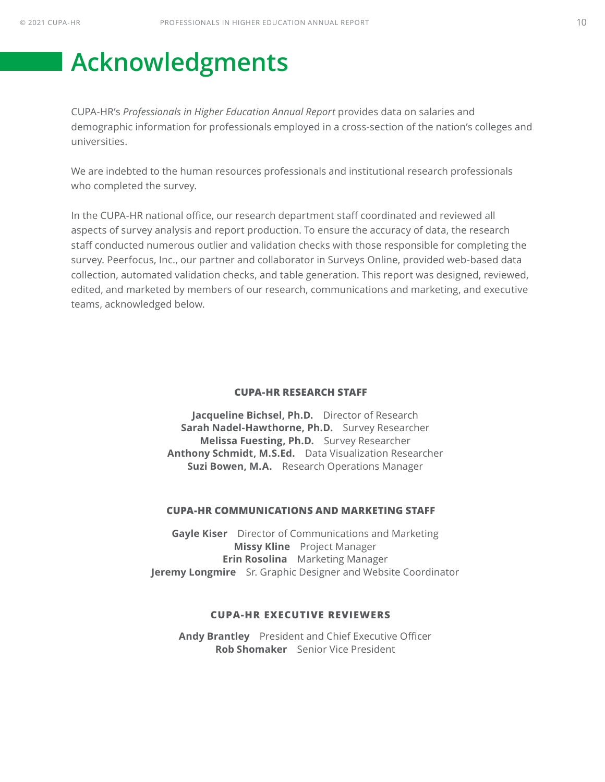## <span id="page-10-0"></span>**Acknowledgments**

CUPA-HR's *Professionals in Higher Education Annual Report* provides data on salaries and demographic information for professionals employed in a cross-section of the nation's colleges and universities.

We are indebted to the human resources professionals and institutional research professionals who completed the survey.

In the CUPA-HR national office, our research department staff coordinated and reviewed all aspects of survey analysis and report production. To ensure the accuracy of data, the research staff conducted numerous outlier and validation checks with those responsible for completing the survey. Peerfocus, Inc., our partner and collaborator in Surveys Online, provided web-based data collection, automated validation checks, and table generation. This report was designed, reviewed, edited, and marketed by members of our research, communications and marketing, and executive teams, acknowledged below.

#### **CUPA-HR RESEARCH STAFF**

**Jacqueline Bichsel, Ph.D.** Director of Research **Sarah Nadel-Hawthorne, Ph.D.** Survey Researcher **Melissa Fuesting, Ph.D.** Survey Researcher **Anthony Schmidt, M.S.Ed.** Data Visualization Researcher **Suzi Bowen, M.A.** Research Operations Manager

#### **CUPA-HR COMMUNICATIONS AND MARKETING STAFF**

**Gayle Kiser** Director of Communications and Marketing **Missy Kline** Project Manager **Erin Rosolina** Marketing Manager **Jeremy Longmire** Sr. Graphic Designer and Website Coordinator

#### **CUPA-HR EXECUTIVE REVIEWERS**

**Andy Brantley** President and Chief Executive Officer **Rob Shomaker** Senior Vice President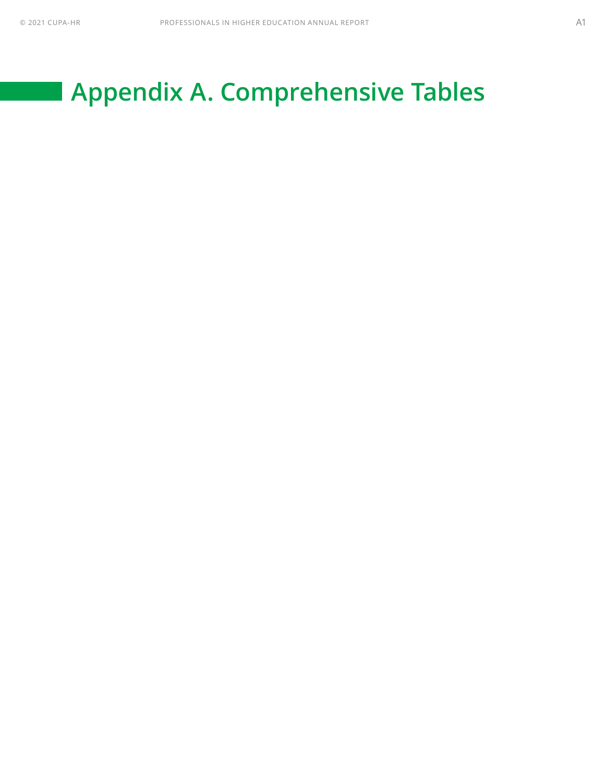# <span id="page-11-0"></span>**Appendix A. Comprehensive Tables**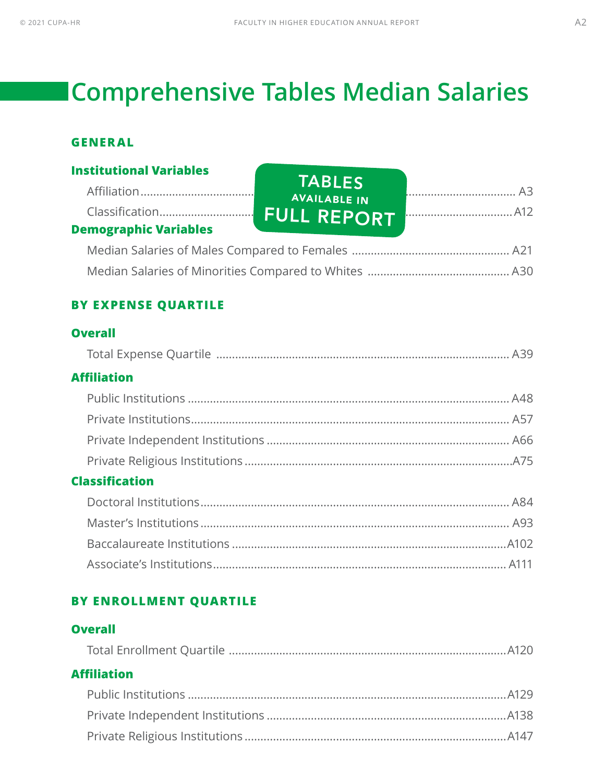# **Comprehensive Tables Median Salaries**

### **GENERAL**

| <b>Institutional Variables</b> |                                      |  |
|--------------------------------|--------------------------------------|--|
|                                | <b>TABLES</b><br><b>AVAILABLE IN</b> |  |
| <b>Demographic Variables</b>   |                                      |  |
|                                |                                      |  |
|                                |                                      |  |

### **BY EXPENSE QUARTILE**

### **Overall**

| <b>Affiliation</b>    |  |
|-----------------------|--|
|                       |  |
|                       |  |
|                       |  |
|                       |  |
| <b>Classification</b> |  |

### **BY ENROLLMENT QUARTILE**

### **Overall**

| <b>Affiliation</b> |  |
|--------------------|--|
|                    |  |
|                    |  |
|                    |  |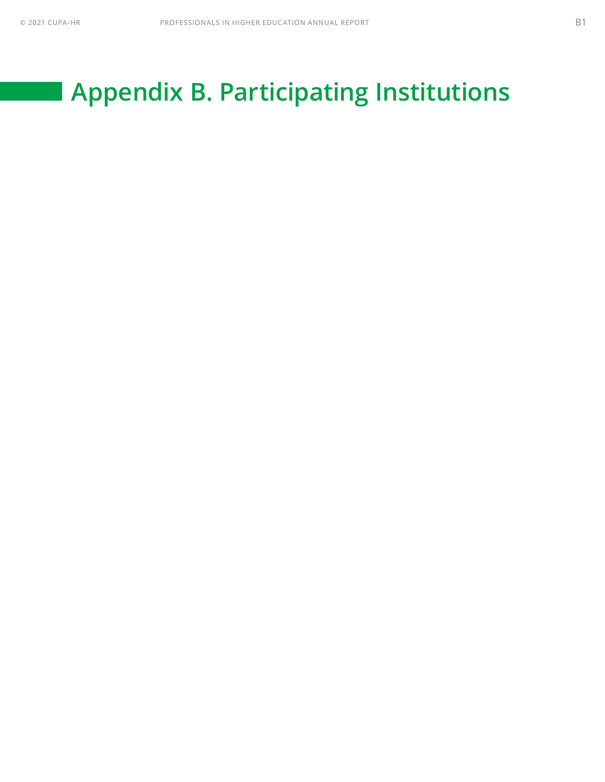# <span id="page-13-0"></span>**Appendix B. Participating Institutions**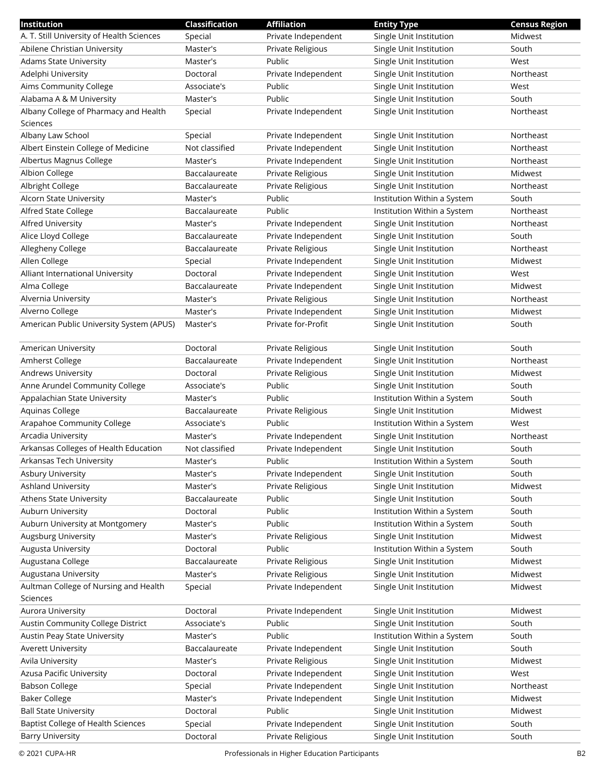| Institution                               | Classification | <b>Affiliation</b>  | <b>Entity Type</b>          | <b>Census Region</b> |
|-------------------------------------------|----------------|---------------------|-----------------------------|----------------------|
| A. T. Still University of Health Sciences | Special        | Private Independent | Single Unit Institution     | Midwest              |
| Abilene Christian University              | Master's       | Private Religious   | Single Unit Institution     | South                |
| <b>Adams State University</b>             | Master's       | Public              | Single Unit Institution     | West                 |
| Adelphi University                        | Doctoral       | Private Independent | Single Unit Institution     | Northeast            |
| Aims Community College                    | Associate's    | Public              | Single Unit Institution     | West                 |
| Alabama A & M University                  | Master's       | Public              | Single Unit Institution     | South                |
| Albany College of Pharmacy and Health     | Special        | Private Independent | Single Unit Institution     | Northeast            |
| Sciences                                  |                |                     |                             |                      |
| Albany Law School                         | Special        | Private Independent | Single Unit Institution     | Northeast            |
| Albert Einstein College of Medicine       | Not classified | Private Independent | Single Unit Institution     | Northeast            |
| Albertus Magnus College                   | Master's       | Private Independent | Single Unit Institution     | Northeast            |
| Albion College                            | Baccalaureate  | Private Religious   | Single Unit Institution     | Midwest              |
| Albright College                          | Baccalaureate  | Private Religious   | Single Unit Institution     | Northeast            |
| Alcorn State University                   | Master's       | Public              | Institution Within a System | South                |
| Alfred State College                      | Baccalaureate  | Public              | Institution Within a System | Northeast            |
| Alfred University                         | Master's       | Private Independent | Single Unit Institution     | Northeast            |
| Alice Lloyd College                       | Baccalaureate  | Private Independent | Single Unit Institution     | South                |
| Allegheny College                         | Baccalaureate  | Private Religious   | Single Unit Institution     | Northeast            |
| Allen College                             | Special        | Private Independent | Single Unit Institution     | Midwest              |
| Alliant International University          | Doctoral       | Private Independent | Single Unit Institution     | West                 |
| Alma College                              | Baccalaureate  | Private Independent | Single Unit Institution     | Midwest              |
| Alvernia University                       | Master's       | Private Religious   | Single Unit Institution     | Northeast            |
| Alverno College                           | Master's       | Private Independent | Single Unit Institution     | Midwest              |
| American Public University System (APUS)  | Master's       | Private for-Profit  | Single Unit Institution     | South                |
|                                           |                |                     |                             |                      |
| American University                       | Doctoral       | Private Religious   | Single Unit Institution     | South                |
| Amherst College                           | Baccalaureate  | Private Independent | Single Unit Institution     | Northeast            |
| <b>Andrews University</b>                 | Doctoral       | Private Religious   | Single Unit Institution     | Midwest              |
| Anne Arundel Community College            | Associate's    | Public              | Single Unit Institution     | South                |
| Appalachian State University              | Master's       | Public              | Institution Within a System | South                |
| Aquinas College                           | Baccalaureate  | Private Religious   | Single Unit Institution     | Midwest              |
| Arapahoe Community College                | Associate's    | Public              | Institution Within a System | West                 |
| Arcadia University                        | Master's       | Private Independent | Single Unit Institution     | Northeast            |
| Arkansas Colleges of Health Education     | Not classified | Private Independent | Single Unit Institution     | South                |
| Arkansas Tech University                  | Master's       | Public              | Institution Within a System | South                |
| Asbury University                         | Master's       | Private Independent | Single Unit Institution     | South                |
| <b>Ashland University</b>                 | Master's       | Private Religious   | Single Unit Institution     | Midwest              |
| Athens State University                   | Baccalaureate  | Public              | Single Unit Institution     | South                |
| <b>Auburn University</b>                  | Doctoral       | Public              | Institution Within a System | South                |
| Auburn University at Montgomery           | Master's       | Public              | Institution Within a System | South                |
| Augsburg University                       | Master's       | Private Religious   | Single Unit Institution     | Midwest              |
| Augusta University                        | Doctoral       | Public              | Institution Within a System | South                |
| Augustana College                         | Baccalaureate  | Private Religious   | Single Unit Institution     | Midwest              |
| Augustana University                      | Master's       | Private Religious   | Single Unit Institution     | Midwest              |
| Aultman College of Nursing and Health     | Special        | Private Independent | Single Unit Institution     | Midwest              |
| Sciences                                  |                |                     |                             |                      |
| Aurora University                         | Doctoral       | Private Independent | Single Unit Institution     | Midwest              |
| Austin Community College District         | Associate's    | Public              | Single Unit Institution     | South                |
| Austin Peay State University              | Master's       | Public              | Institution Within a System | South                |
| <b>Averett University</b>                 | Baccalaureate  | Private Independent | Single Unit Institution     | South                |
| Avila University                          | Master's       | Private Religious   | Single Unit Institution     | Midwest              |
| Azusa Pacific University                  | Doctoral       | Private Independent | Single Unit Institution     | West                 |
| <b>Babson College</b>                     | Special        | Private Independent | Single Unit Institution     | Northeast            |
| <b>Baker College</b>                      | Master's       | Private Independent | Single Unit Institution     | Midwest              |
| <b>Ball State University</b>              | Doctoral       | Public              | Single Unit Institution     | Midwest              |
| <b>Baptist College of Health Sciences</b> | Special        | Private Independent | Single Unit Institution     | South                |
| <b>Barry University</b>                   | Doctoral       | Private Religious   | Single Unit Institution     | South                |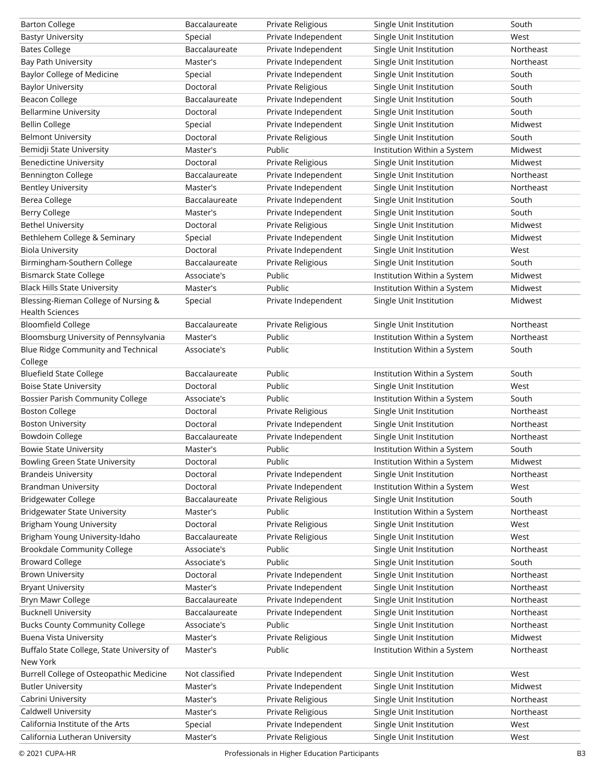| <b>Barton College</b>                      | Baccalaureate  | Private Religious   | Single Unit Institution     | South     |
|--------------------------------------------|----------------|---------------------|-----------------------------|-----------|
| <b>Bastyr University</b>                   | Special        | Private Independent | Single Unit Institution     | West      |
| <b>Bates College</b>                       | Baccalaureate  | Private Independent | Single Unit Institution     | Northeast |
| Bay Path University                        | Master's       | Private Independent | Single Unit Institution     | Northeast |
| <b>Baylor College of Medicine</b>          | Special        | Private Independent | Single Unit Institution     | South     |
| <b>Baylor University</b>                   | Doctoral       | Private Religious   | Single Unit Institution     | South     |
| <b>Beacon College</b>                      | Baccalaureate  | Private Independent | Single Unit Institution     | South     |
| <b>Bellarmine University</b>               | Doctoral       | Private Independent | Single Unit Institution     | South     |
| <b>Bellin College</b>                      | Special        | Private Independent | Single Unit Institution     | Midwest   |
| <b>Belmont University</b>                  | Doctoral       | Private Religious   | Single Unit Institution     | South     |
| Bemidji State University                   | Master's       | Public              | Institution Within a System | Midwest   |
| <b>Benedictine University</b>              | Doctoral       | Private Religious   | Single Unit Institution     | Midwest   |
| <b>Bennington College</b>                  | Baccalaureate  | Private Independent | Single Unit Institution     | Northeast |
| <b>Bentley University</b>                  | Master's       | Private Independent | Single Unit Institution     | Northeast |
| Berea College                              | Baccalaureate  | Private Independent | Single Unit Institution     | South     |
| Berry College                              | Master's       | Private Independent | Single Unit Institution     | South     |
| <b>Bethel University</b>                   | Doctoral       | Private Religious   | Single Unit Institution     | Midwest   |
| Bethlehem College & Seminary               | Special        | Private Independent | Single Unit Institution     | Midwest   |
| <b>Biola University</b>                    | Doctoral       | Private Independent | Single Unit Institution     | West      |
| Birmingham-Southern College                | Baccalaureate  | Private Religious   | Single Unit Institution     | South     |
| <b>Bismarck State College</b>              | Associate's    | Public              | Institution Within a System | Midwest   |
| <b>Black Hills State University</b>        | Master's       | Public              | Institution Within a System | Midwest   |
| Blessing-Rieman College of Nursing &       | Special        | Private Independent | Single Unit Institution     | Midwest   |
| <b>Health Sciences</b>                     |                |                     |                             |           |
| <b>Bloomfield College</b>                  | Baccalaureate  | Private Religious   | Single Unit Institution     | Northeast |
| Bloomsburg University of Pennsylvania      | Master's       | Public              | Institution Within a System | Northeast |
| Blue Ridge Community and Technical         | Associate's    | Public              | Institution Within a System | South     |
| College                                    |                |                     |                             |           |
| <b>Bluefield State College</b>             | Baccalaureate  | Public              | Institution Within a System | South     |
| <b>Boise State University</b>              | Doctoral       | Public              | Single Unit Institution     | West      |
|                                            |                |                     |                             |           |
| <b>Bossier Parish Community College</b>    | Associate's    | Public              | Institution Within a System | South     |
| <b>Boston College</b>                      | Doctoral       | Private Religious   | Single Unit Institution     | Northeast |
| <b>Boston University</b>                   | Doctoral       | Private Independent | Single Unit Institution     | Northeast |
| <b>Bowdoin College</b>                     | Baccalaureate  | Private Independent | Single Unit Institution     | Northeast |
| <b>Bowie State University</b>              | Master's       | Public              | Institution Within a System | South     |
| <b>Bowling Green State University</b>      | Doctoral       | Public              | Institution Within a System | Midwest   |
| <b>Brandeis University</b>                 | Doctoral       | Private Independent | Single Unit Institution     | Northeast |
| <b>Brandman University</b>                 | Doctoral       | Private Independent | Institution Within a System | West      |
| <b>Bridgewater College</b>                 | Baccalaureate  | Private Religious   | Single Unit Institution     | South     |
| <b>Bridgewater State University</b>        | Master's       | Public              | Institution Within a System | Northeast |
| <b>Brigham Young University</b>            | Doctoral       | Private Religious   | Single Unit Institution     | West      |
| Brigham Young University-Idaho             | Baccalaureate  | Private Religious   | Single Unit Institution     | West      |
| <b>Brookdale Community College</b>         | Associate's    | Public              | Single Unit Institution     | Northeast |
| <b>Broward College</b>                     | Associate's    | Public              | Single Unit Institution     | South     |
| <b>Brown University</b>                    | Doctoral       | Private Independent | Single Unit Institution     | Northeast |
| <b>Bryant University</b>                   | Master's       | Private Independent | Single Unit Institution     | Northeast |
| Bryn Mawr College                          | Baccalaureate  | Private Independent | Single Unit Institution     | Northeast |
| <b>Bucknell University</b>                 | Baccalaureate  | Private Independent | Single Unit Institution     | Northeast |
| <b>Bucks County Community College</b>      | Associate's    | Public              | Single Unit Institution     | Northeast |
| <b>Buena Vista University</b>              | Master's       | Private Religious   | Single Unit Institution     | Midwest   |
| Buffalo State College, State University of | Master's       | Public              | Institution Within a System | Northeast |
| New York                                   |                |                     |                             |           |
| Burrell College of Osteopathic Medicine    | Not classified | Private Independent | Single Unit Institution     | West      |
| <b>Butler University</b>                   | Master's       | Private Independent | Single Unit Institution     | Midwest   |
| Cabrini University                         | Master's       | Private Religious   | Single Unit Institution     | Northeast |
| Caldwell University                        | Master's       | Private Religious   | Single Unit Institution     | Northeast |
| California Institute of the Arts           | Special        | Private Independent | Single Unit Institution     | West      |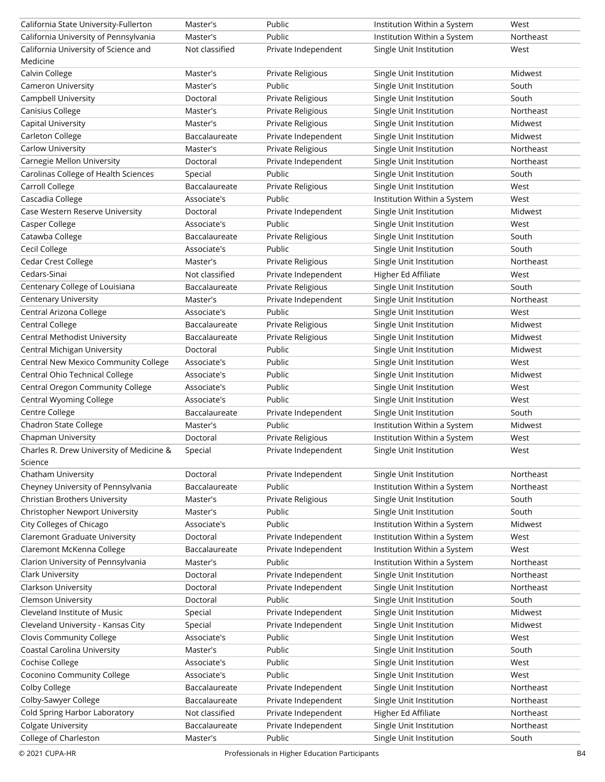| California State University-Fullerton    | Master's       | Public              | Institution Within a System | West      |
|------------------------------------------|----------------|---------------------|-----------------------------|-----------|
| California University of Pennsylvania    | Master's       | Public              | Institution Within a System | Northeast |
| California University of Science and     | Not classified | Private Independent | Single Unit Institution     | West      |
| Medicine                                 |                |                     |                             |           |
| Calvin College                           | Master's       | Private Religious   | Single Unit Institution     | Midwest   |
| Cameron University                       | Master's       | Public              | Single Unit Institution     | South     |
| Campbell University                      | Doctoral       | Private Religious   | Single Unit Institution     | South     |
| Canisius College                         | Master's       | Private Religious   | Single Unit Institution     | Northeast |
| Capital University                       | Master's       | Private Religious   | Single Unit Institution     | Midwest   |
| Carleton College                         | Baccalaureate  | Private Independent | Single Unit Institution     | Midwest   |
| Carlow University                        | Master's       | Private Religious   | Single Unit Institution     | Northeast |
| Carnegie Mellon University               | Doctoral       | Private Independent | Single Unit Institution     | Northeast |
| Carolinas College of Health Sciences     | Special        | Public              | Single Unit Institution     | South     |
| Carroll College                          | Baccalaureate  | Private Religious   | Single Unit Institution     | West      |
| Cascadia College                         | Associate's    | Public              | Institution Within a System | West      |
| Case Western Reserve University          | Doctoral       | Private Independent | Single Unit Institution     | Midwest   |
| Casper College                           | Associate's    | Public              | Single Unit Institution     | West      |
| Catawba College                          | Baccalaureate  | Private Religious   | Single Unit Institution     | South     |
| Cecil College                            | Associate's    | Public              | Single Unit Institution     | South     |
| <b>Cedar Crest College</b>               | Master's       | Private Religious   | Single Unit Institution     | Northeast |
| Cedars-Sinai                             | Not classified | Private Independent | Higher Ed Affiliate         | West      |
| Centenary College of Louisiana           | Baccalaureate  | Private Religious   | Single Unit Institution     | South     |
| Centenary University                     | Master's       | Private Independent | Single Unit Institution     | Northeast |
| Central Arizona College                  | Associate's    | Public              | Single Unit Institution     | West      |
| Central College                          | Baccalaureate  | Private Religious   | Single Unit Institution     | Midwest   |
| <b>Central Methodist University</b>      | Baccalaureate  | Private Religious   | Single Unit Institution     | Midwest   |
| Central Michigan University              | Doctoral       | Public              | Single Unit Institution     | Midwest   |
| Central New Mexico Community College     | Associate's    | Public              | Single Unit Institution     | West      |
| Central Ohio Technical College           | Associate's    | Public              | Single Unit Institution     | Midwest   |
| Central Oregon Community College         | Associate's    | Public              | Single Unit Institution     | West      |
| Central Wyoming College                  | Associate's    | Public              | Single Unit Institution     | West      |
| Centre College                           | Baccalaureate  | Private Independent | Single Unit Institution     | South     |
| Chadron State College                    | Master's       | Public              | Institution Within a System | Midwest   |
| Chapman University                       | Doctoral       | Private Religious   | Institution Within a System | West      |
| Charles R. Drew University of Medicine & | Special        | Private Independent | Single Unit Institution     | West      |
| Science                                  |                |                     |                             |           |
| Chatham University                       | Doctoral       | Private Independent | Single Unit Institution     | Northeast |
| Cheyney University of Pennsylvania       | Baccalaureate  | Public              | Institution Within a System | Northeast |
| Christian Brothers University            | Master's       | Private Religious   | Single Unit Institution     | South     |
| Christopher Newport University           | Master's       | Public              | Single Unit Institution     | South     |
| City Colleges of Chicago                 | Associate's    | Public              | Institution Within a System | Midwest   |
| <b>Claremont Graduate University</b>     | Doctoral       | Private Independent | Institution Within a System | West      |
| Claremont McKenna College                | Baccalaureate  | Private Independent | Institution Within a System | West      |
| Clarion University of Pennsylvania       | Master's       | Public              | Institution Within a System | Northeast |
| Clark University                         | Doctoral       | Private Independent | Single Unit Institution     | Northeast |
| Clarkson University                      | Doctoral       | Private Independent | Single Unit Institution     | Northeast |
| Clemson University                       | Doctoral       | Public              | Single Unit Institution     | South     |
| Cleveland Institute of Music             | Special        | Private Independent | Single Unit Institution     | Midwest   |
| Cleveland University - Kansas City       | Special        | Private Independent | Single Unit Institution     | Midwest   |
| Clovis Community College                 | Associate's    | Public              | Single Unit Institution     | West      |
| Coastal Carolina University              | Master's       | Public              | Single Unit Institution     | South     |
| Cochise College                          | Associate's    | Public              | Single Unit Institution     | West      |
| Coconino Community College               | Associate's    | Public              | Single Unit Institution     | West      |
| Colby College                            | Baccalaureate  | Private Independent | Single Unit Institution     | Northeast |
| Colby-Sawyer College                     | Baccalaureate  | Private Independent | Single Unit Institution     | Northeast |
| Cold Spring Harbor Laboratory            | Not classified | Private Independent | Higher Ed Affiliate         | Northeast |
| <b>Colgate University</b>                | Baccalaureate  | Private Independent | Single Unit Institution     | Northeast |
| College of Charleston                    | Master's       | Public              | Single Unit Institution     | South     |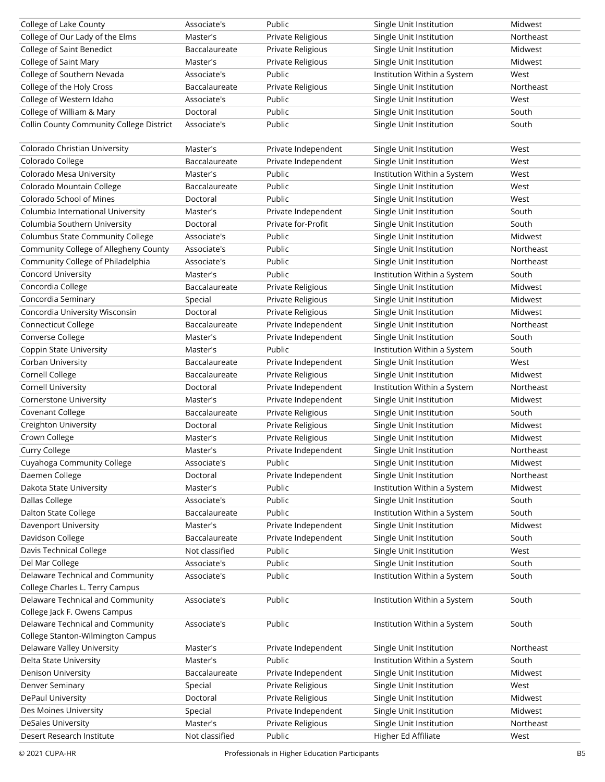| College of Lake County                                              | Associate's    | Public              | Single Unit Institution     | Midwest   |
|---------------------------------------------------------------------|----------------|---------------------|-----------------------------|-----------|
| College of Our Lady of the Elms                                     | Master's       | Private Religious   | Single Unit Institution     | Northeast |
| <b>College of Saint Benedict</b>                                    | Baccalaureate  | Private Religious   | Single Unit Institution     | Midwest   |
| College of Saint Mary                                               | Master's       | Private Religious   | Single Unit Institution     | Midwest   |
| College of Southern Nevada                                          | Associate's    | Public              | Institution Within a System | West      |
| College of the Holy Cross                                           | Baccalaureate  | Private Religious   | Single Unit Institution     | Northeast |
| College of Western Idaho                                            | Associate's    | Public              | Single Unit Institution     | West      |
| College of William & Mary                                           | Doctoral       | Public              | Single Unit Institution     | South     |
| Collin County Community College District                            | Associate's    | Public              | Single Unit Institution     | South     |
|                                                                     |                |                     |                             |           |
| Colorado Christian University                                       | Master's       | Private Independent | Single Unit Institution     | West      |
| Colorado College                                                    | Baccalaureate  | Private Independent | Single Unit Institution     | West      |
| Colorado Mesa University                                            | Master's       | Public              | Institution Within a System | West      |
| Colorado Mountain College                                           | Baccalaureate  | Public              | Single Unit Institution     | West      |
| Colorado School of Mines                                            | Doctoral       | Public              | Single Unit Institution     | West      |
| Columbia International University                                   | Master's       | Private Independent | Single Unit Institution     | South     |
| Columbia Southern University                                        | Doctoral       | Private for-Profit  | Single Unit Institution     | South     |
| Columbus State Community College                                    | Associate's    | Public              | Single Unit Institution     | Midwest   |
| Community College of Allegheny County                               | Associate's    | Public              | Single Unit Institution     | Northeast |
| Community College of Philadelphia                                   | Associate's    | Public              | Single Unit Institution     | Northeast |
| <b>Concord University</b>                                           | Master's       | Public              |                             | South     |
|                                                                     |                |                     | Institution Within a System |           |
| Concordia College                                                   | Baccalaureate  | Private Religious   | Single Unit Institution     | Midwest   |
| Concordia Seminary                                                  | Special        | Private Religious   | Single Unit Institution     | Midwest   |
| Concordia University Wisconsin                                      | Doctoral       | Private Religious   | Single Unit Institution     | Midwest   |
| Connecticut College                                                 | Baccalaureate  | Private Independent | Single Unit Institution     | Northeast |
| Converse College                                                    | Master's       | Private Independent | Single Unit Institution     | South     |
| Coppin State University                                             | Master's       | Public              | Institution Within a System | South     |
| Corban University                                                   | Baccalaureate  | Private Independent | Single Unit Institution     | West      |
| Cornell College                                                     | Baccalaureate  | Private Religious   | Single Unit Institution     | Midwest   |
| Cornell University                                                  | Doctoral       | Private Independent | Institution Within a System | Northeast |
| Cornerstone University                                              | Master's       | Private Independent | Single Unit Institution     | Midwest   |
| Covenant College                                                    | Baccalaureate  | Private Religious   | Single Unit Institution     | South     |
| Creighton University                                                | Doctoral       | Private Religious   | Single Unit Institution     | Midwest   |
| Crown College                                                       | Master's       | Private Religious   | Single Unit Institution     | Midwest   |
| Curry College                                                       | Master's       | Private Independent | Single Unit Institution     | Northeast |
| Cuyahoga Community College                                          | Associate's    | Public              | Single Unit Institution     | Midwest   |
| Daemen College                                                      | Doctoral       | Private Independent | Single Unit Institution     | Northeast |
| Dakota State University                                             | Master's       | Public              | Institution Within a System | Midwest   |
| Dallas College                                                      | Associate's    | Public              | Single Unit Institution     | South     |
| Dalton State College                                                | Baccalaureate  | Public              | Institution Within a System | South     |
| Davenport University                                                | Master's       | Private Independent | Single Unit Institution     | Midwest   |
| Davidson College                                                    | Baccalaureate  | Private Independent | Single Unit Institution     | South     |
| Davis Technical College                                             | Not classified | Public              | Single Unit Institution     | West      |
| Del Mar College                                                     | Associate's    | Public              | Single Unit Institution     | South     |
|                                                                     |                |                     |                             |           |
| Delaware Technical and Community<br>College Charles L. Terry Campus | Associate's    | Public              | Institution Within a System | South     |
|                                                                     |                |                     |                             |           |
| Delaware Technical and Community                                    | Associate's    | Public              | Institution Within a System | South     |
| College Jack F. Owens Campus                                        |                |                     |                             |           |
| Delaware Technical and Community                                    | Associate's    | Public              | Institution Within a System | South     |
| College Stanton-Wilmington Campus                                   |                |                     |                             |           |
| Delaware Valley University                                          | Master's       | Private Independent | Single Unit Institution     | Northeast |
| Delta State University                                              | Master's       | Public              | Institution Within a System | South     |
| Denison University                                                  | Baccalaureate  | Private Independent | Single Unit Institution     | Midwest   |
| Denver Seminary                                                     | Special        | Private Religious   | Single Unit Institution     | West      |
| DePaul University                                                   | Doctoral       | Private Religious   | Single Unit Institution     | Midwest   |
| Des Moines University                                               | Special        | Private Independent | Single Unit Institution     | Midwest   |
| <b>DeSales University</b>                                           | Master's       | Private Religious   | Single Unit Institution     | Northeast |
| Desert Research Institute                                           | Not classified | Public              | Higher Ed Affiliate         | West      |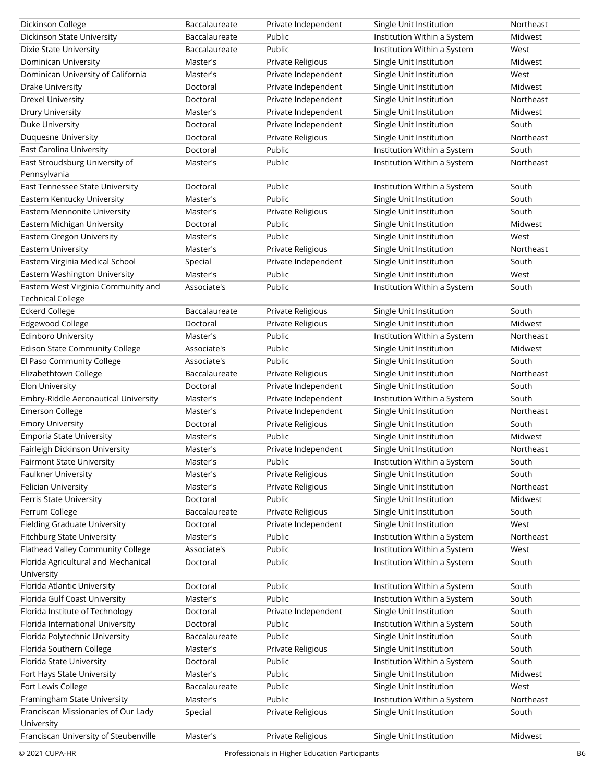| Dickinson College                     | Baccalaureate | Private Independent | Single Unit Institution     | Northeast |
|---------------------------------------|---------------|---------------------|-----------------------------|-----------|
| Dickinson State University            | Baccalaureate | Public              | Institution Within a System | Midwest   |
| Dixie State University                | Baccalaureate | Public              | Institution Within a System | West      |
| Dominican University                  | Master's      | Private Religious   | Single Unit Institution     | Midwest   |
| Dominican University of California    | Master's      | Private Independent | Single Unit Institution     | West      |
| Drake University                      | Doctoral      | Private Independent | Single Unit Institution     | Midwest   |
| Drexel University                     | Doctoral      | Private Independent | Single Unit Institution     | Northeast |
| Drury University                      | Master's      | Private Independent | Single Unit Institution     | Midwest   |
| Duke University                       | Doctoral      | Private Independent | Single Unit Institution     | South     |
| Duquesne University                   | Doctoral      | Private Religious   | Single Unit Institution     | Northeast |
| East Carolina University              | Doctoral      | Public              | Institution Within a System | South     |
| East Stroudsburg University of        | Master's      | Public              | Institution Within a System | Northeast |
| Pennsylvania                          |               |                     |                             |           |
| East Tennessee State University       | Doctoral      | Public              | Institution Within a System | South     |
| Eastern Kentucky University           | Master's      | Public              | Single Unit Institution     | South     |
| Eastern Mennonite University          | Master's      | Private Religious   | Single Unit Institution     | South     |
| Eastern Michigan University           | Doctoral      | Public              | Single Unit Institution     | Midwest   |
| Eastern Oregon University             | Master's      | Public              | Single Unit Institution     | West      |
| Eastern University                    | Master's      | Private Religious   | Single Unit Institution     | Northeast |
| Eastern Virginia Medical School       | Special       | Private Independent | Single Unit Institution     | South     |
| Eastern Washington University         | Master's      | Public              | Single Unit Institution     | West      |
| Eastern West Virginia Community and   | Associate's   | Public              | Institution Within a System | South     |
| <b>Technical College</b>              |               |                     |                             |           |
| <b>Eckerd College</b>                 | Baccalaureate | Private Religious   | Single Unit Institution     | South     |
| <b>Edgewood College</b>               | Doctoral      | Private Religious   | Single Unit Institution     | Midwest   |
| <b>Edinboro University</b>            | Master's      | Public              | Institution Within a System | Northeast |
| <b>Edison State Community College</b> | Associate's   | Public              | Single Unit Institution     | Midwest   |
| El Paso Community College             | Associate's   | Public              | Single Unit Institution     | South     |
| Elizabethtown College                 | Baccalaureate | Private Religious   | Single Unit Institution     | Northeast |
| Elon University                       | Doctoral      | Private Independent | Single Unit Institution     | South     |
| Embry-Riddle Aeronautical University  | Master's      | Private Independent | Institution Within a System | South     |
| <b>Emerson College</b>                | Master's      | Private Independent | Single Unit Institution     | Northeast |
| <b>Emory University</b>               | Doctoral      | Private Religious   | Single Unit Institution     | South     |
| <b>Emporia State University</b>       | Master's      | Public              | Single Unit Institution     | Midwest   |
| Fairleigh Dickinson University        | Master's      | Private Independent | Single Unit Institution     | Northeast |
| Fairmont State University             | Master's      | Public              | Institution Within a System | South     |
| Faulkner University                   | Master's      | Private Religious   | Single Unit Institution     | South     |
| Felician University                   | Master's      | Private Religious   | Single Unit Institution     | Northeast |
| Ferris State University               | Doctoral      | Public              | Single Unit Institution     | Midwest   |
| Ferrum College                        | Baccalaureate | Private Religious   | Single Unit Institution     | South     |
| <b>Fielding Graduate University</b>   | Doctoral      | Private Independent | Single Unit Institution     | West      |
| <b>Fitchburg State University</b>     | Master's      | Public              | Institution Within a System | Northeast |
| Flathead Valley Community College     | Associate's   | Public              | Institution Within a System | West      |
| Florida Agricultural and Mechanical   | Doctoral      | Public              | Institution Within a System | South     |
| University                            |               |                     |                             |           |
| Florida Atlantic University           | Doctoral      | Public              | Institution Within a System | South     |
| Florida Gulf Coast University         | Master's      | Public              | Institution Within a System | South     |
| Florida Institute of Technology       | Doctoral      | Private Independent | Single Unit Institution     | South     |
| Florida International University      | Doctoral      | Public              | Institution Within a System | South     |
| Florida Polytechnic University        | Baccalaureate | Public              | Single Unit Institution     | South     |
| Florida Southern College              | Master's      | Private Religious   | Single Unit Institution     | South     |
| Florida State University              | Doctoral      | Public              | Institution Within a System | South     |
| Fort Hays State University            | Master's      | Public              | Single Unit Institution     | Midwest   |
| Fort Lewis College                    | Baccalaureate | Public              | Single Unit Institution     | West      |
| Framingham State University           | Master's      | Public              | Institution Within a System | Northeast |
| Franciscan Missionaries of Our Lady   | Special       | Private Religious   | Single Unit Institution     | South     |
| University                            |               |                     |                             |           |
| Franciscan University of Steubenville | Master's      | Private Religious   | Single Unit Institution     | Midwest   |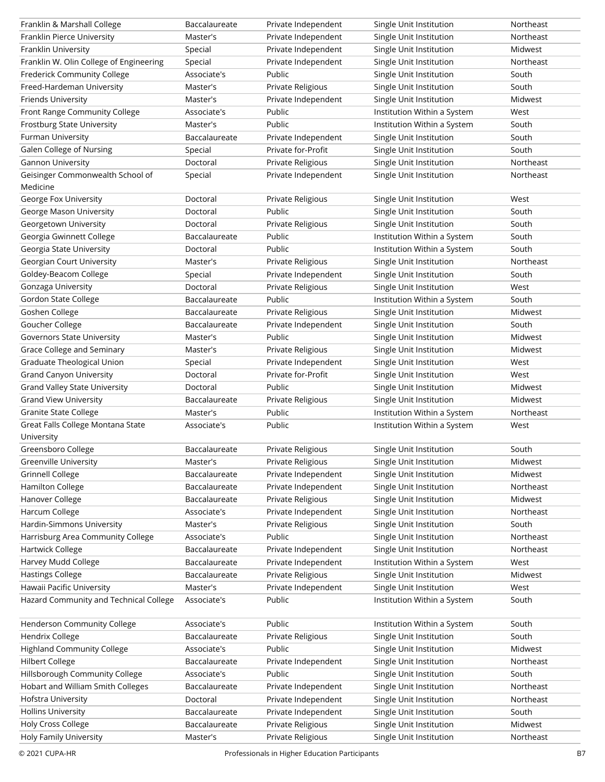| Franklin & Marshall College             | Baccalaureate | Private Independent | Single Unit Institution     | Northeast |
|-----------------------------------------|---------------|---------------------|-----------------------------|-----------|
| Franklin Pierce University              | Master's      | Private Independent | Single Unit Institution     | Northeast |
| Franklin University                     | Special       | Private Independent | Single Unit Institution     | Midwest   |
| Franklin W. Olin College of Engineering | Special       | Private Independent | Single Unit Institution     | Northeast |
| Frederick Community College             | Associate's   | Public              | Single Unit Institution     | South     |
| Freed-Hardeman University               | Master's      | Private Religious   | Single Unit Institution     | South     |
| Friends University                      | Master's      | Private Independent | Single Unit Institution     | Midwest   |
| Front Range Community College           | Associate's   | Public              | Institution Within a System | West      |
| Frostburg State University              | Master's      | Public              | Institution Within a System | South     |
| Furman University                       | Baccalaureate | Private Independent | Single Unit Institution     | South     |
| Galen College of Nursing                | Special       | Private for-Profit  | Single Unit Institution     | South     |
| Gannon University                       | Doctoral      | Private Religious   | Single Unit Institution     | Northeast |
| Geisinger Commonwealth School of        | Special       | Private Independent | Single Unit Institution     | Northeast |
| Medicine                                |               |                     |                             |           |
| George Fox University                   | Doctoral      | Private Religious   | Single Unit Institution     | West      |
| George Mason University                 | Doctoral      | Public              | Single Unit Institution     | South     |
| Georgetown University                   | Doctoral      | Private Religious   | Single Unit Institution     | South     |
| Georgia Gwinnett College                | Baccalaureate | Public              | Institution Within a System | South     |
| Georgia State University                | Doctoral      | Public              | Institution Within a System | South     |
| Georgian Court University               | Master's      | Private Religious   | Single Unit Institution     | Northeast |
| Goldey-Beacom College                   | Special       | Private Independent | Single Unit Institution     | South     |
| Gonzaga University                      | Doctoral      | Private Religious   | Single Unit Institution     | West      |
| <b>Gordon State College</b>             | Baccalaureate | Public              | Institution Within a System | South     |
| Goshen College                          | Baccalaureate | Private Religious   | Single Unit Institution     | Midwest   |
| Goucher College                         | Baccalaureate | Private Independent | Single Unit Institution     | South     |
| Governors State University              | Master's      | Public              | Single Unit Institution     | Midwest   |
| Grace College and Seminary              | Master's      | Private Religious   | Single Unit Institution     | Midwest   |
| Graduate Theological Union              | Special       | Private Independent | Single Unit Institution     | West      |
| <b>Grand Canyon University</b>          | Doctoral      | Private for-Profit  | Single Unit Institution     | West      |
| Grand Valley State University           | Doctoral      | Public              | Single Unit Institution     | Midwest   |
| <b>Grand View University</b>            | Baccalaureate | Private Religious   | Single Unit Institution     | Midwest   |
| <b>Granite State College</b>            | Master's      | Public              | Institution Within a System | Northeast |
| Great Falls College Montana State       | Associate's   | Public              | Institution Within a System | West      |
| University                              |               |                     |                             |           |
| Greensboro College                      | Baccalaureate | Private Religious   | Single Unit Institution     | South     |
| Greenville University                   | Master's      | Private Religious   | Single Unit Institution     | Midwest   |
| <b>Grinnell College</b>                 | Baccalaureate | Private Independent | Single Unit Institution     | Midwest   |
| Hamilton College                        | Baccalaureate | Private Independent | Single Unit Institution     | Northeast |
| Hanover College                         | Baccalaureate | Private Religious   | Single Unit Institution     | Midwest   |
| Harcum College                          | Associate's   | Private Independent | Single Unit Institution     | Northeast |
| Hardin-Simmons University               | Master's      | Private Religious   | Single Unit Institution     | South     |
| Harrisburg Area Community College       | Associate's   | Public              | Single Unit Institution     | Northeast |
| Hartwick College                        | Baccalaureate | Private Independent | Single Unit Institution     | Northeast |
| Harvey Mudd College                     | Baccalaureate | Private Independent | Institution Within a System | West      |
| <b>Hastings College</b>                 | Baccalaureate | Private Religious   | Single Unit Institution     | Midwest   |
| Hawaii Pacific University               | Master's      | Private Independent | Single Unit Institution     | West      |
| Hazard Community and Technical College  | Associate's   | Public              | Institution Within a System | South     |
|                                         |               |                     |                             |           |
| Henderson Community College             | Associate's   | Public              | Institution Within a System | South     |
| Hendrix College                         | Baccalaureate | Private Religious   | Single Unit Institution     | South     |
| <b>Highland Community College</b>       | Associate's   | Public              | Single Unit Institution     | Midwest   |
| <b>Hilbert College</b>                  | Baccalaureate | Private Independent | Single Unit Institution     | Northeast |
| Hillsborough Community College          | Associate's   | Public              | Single Unit Institution     | South     |
| Hobart and William Smith Colleges       | Baccalaureate | Private Independent | Single Unit Institution     | Northeast |
| Hofstra University                      | Doctoral      | Private Independent | Single Unit Institution     | Northeast |
| <b>Hollins University</b>               | Baccalaureate | Private Independent | Single Unit Institution     | South     |
| Holy Cross College                      | Baccalaureate | Private Religious   | Single Unit Institution     | Midwest   |
| Holy Family University                  | Master's      | Private Religious   | Single Unit Institution     | Northeast |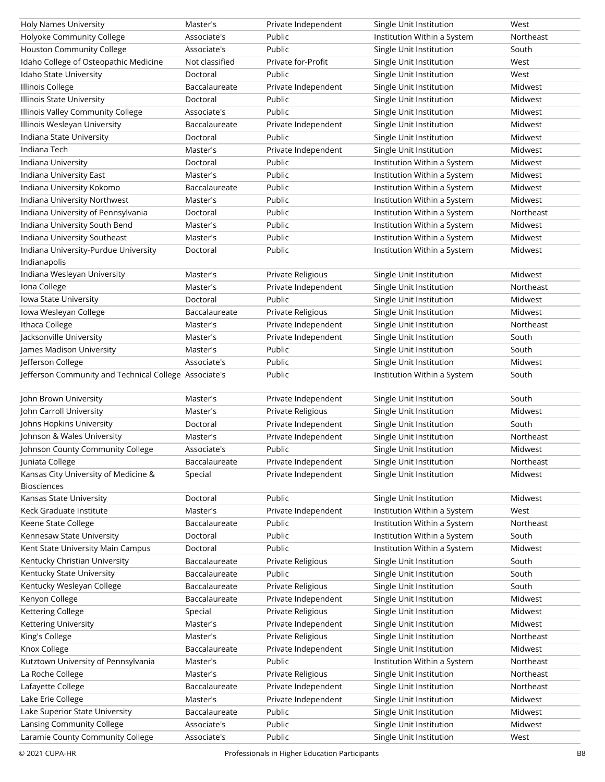| Holy Names University                                 | Master's       | Private Independent           | Single Unit Institution     | West      |
|-------------------------------------------------------|----------------|-------------------------------|-----------------------------|-----------|
| Holyoke Community College                             | Associate's    | Public                        | Institution Within a System | Northeast |
| <b>Houston Community College</b>                      | Associate's    | Public                        | Single Unit Institution     | South     |
| Idaho College of Osteopathic Medicine                 | Not classified | Private for-Profit            | Single Unit Institution     | West      |
| Idaho State University                                | Doctoral       | Public                        | Single Unit Institution     | West      |
| Illinois College                                      | Baccalaureate  | Private Independent           | Single Unit Institution     | Midwest   |
| Illinois State University                             | Doctoral       | Public                        | Single Unit Institution     | Midwest   |
| Illinois Valley Community College                     | Associate's    | Public                        | Single Unit Institution     | Midwest   |
| Illinois Wesleyan University                          | Baccalaureate  | Private Independent           | Single Unit Institution     | Midwest   |
| Indiana State University                              | Doctoral       | Public                        | Single Unit Institution     | Midwest   |
| Indiana Tech                                          | Master's       | Private Independent           | Single Unit Institution     | Midwest   |
| Indiana University                                    | Doctoral       | Public                        | Institution Within a System | Midwest   |
| Indiana University East                               | Master's       | Public                        | Institution Within a System | Midwest   |
| Indiana University Kokomo                             | Baccalaureate  | Public                        | Institution Within a System | Midwest   |
| Indiana University Northwest                          | Master's       | Public                        | Institution Within a System | Midwest   |
| Indiana University of Pennsylvania                    | Doctoral       | Public                        | Institution Within a System | Northeast |
| Indiana University South Bend                         | Master's       | Public                        | Institution Within a System | Midwest   |
| Indiana University Southeast                          | Master's       | Public                        | Institution Within a System | Midwest   |
| Indiana University-Purdue University                  | Doctoral       | Public                        | Institution Within a System | Midwest   |
| Indianapolis                                          |                |                               |                             |           |
| Indiana Wesleyan University                           | Master's       | Private Religious             | Single Unit Institution     | Midwest   |
| Iona College                                          | Master's       | Private Independent           | Single Unit Institution     | Northeast |
| Iowa State University                                 | Doctoral       | Public                        | Single Unit Institution     | Midwest   |
| Iowa Wesleyan College                                 | Baccalaureate  | Private Religious             | Single Unit Institution     | Midwest   |
| Ithaca College                                        | Master's       | Private Independent           |                             | Northeast |
| Jacksonville University                               |                |                               | Single Unit Institution     | South     |
| James Madison University                              | Master's       | Private Independent<br>Public | Single Unit Institution     |           |
|                                                       | Master's       |                               | Single Unit Institution     | South     |
| Jefferson College                                     | Associate's    | Public                        | Single Unit Institution     | Midwest   |
| Jefferson Community and Technical College Associate's |                | Public                        | Institution Within a System | South     |
| John Brown University                                 | Master's       | Private Independent           | Single Unit Institution     | South     |
| John Carroll University                               | Master's       | Private Religious             | Single Unit Institution     | Midwest   |
| Johns Hopkins University                              | Doctoral       | Private Independent           | Single Unit Institution     | South     |
| Johnson & Wales University                            | Master's       | Private Independent           | Single Unit Institution     | Northeast |
| Johnson County Community College                      | Associate's    | Public                        | Single Unit Institution     | Midwest   |
| Juniata College                                       | Baccalaureate  | Private Independent           | Single Unit Institution     | Northeast |
| Kansas City University of Medicine &                  | Special        | Private Independent           | Single Unit Institution     | Midwest   |
| <b>Biosciences</b>                                    |                |                               |                             |           |
| Kansas State University                               | Doctoral       | Public                        | Single Unit Institution     | Midwest   |
| Keck Graduate Institute                               | Master's       | Private Independent           | Institution Within a System | West      |
| Keene State College                                   | Baccalaureate  | Public                        | Institution Within a System | Northeast |
| Kennesaw State University                             | Doctoral       | Public                        | Institution Within a System | South     |
| Kent State University Main Campus                     | Doctoral       | Public                        | Institution Within a System | Midwest   |
| Kentucky Christian University                         | Baccalaureate  | Private Religious             | Single Unit Institution     | South     |
| Kentucky State University                             | Baccalaureate  | Public                        | Single Unit Institution     | South     |
| Kentucky Wesleyan College                             | Baccalaureate  | Private Religious             | Single Unit Institution     | South     |
| Kenyon College                                        | Baccalaureate  | Private Independent           | Single Unit Institution     | Midwest   |
| Kettering College                                     |                |                               | Single Unit Institution     | Midwest   |
|                                                       | Special        | Private Religious             |                             |           |
| Kettering University                                  | Master's       | Private Independent           | Single Unit Institution     | Midwest   |
| King's College                                        | Master's       | Private Religious             | Single Unit Institution     | Northeast |
| Knox College                                          | Baccalaureate  | Private Independent           | Single Unit Institution     | Midwest   |
| Kutztown University of Pennsylvania                   | Master's       | Public                        | Institution Within a System | Northeast |
| La Roche College                                      | Master's       | Private Religious             | Single Unit Institution     | Northeast |
| Lafayette College                                     | Baccalaureate  | Private Independent           | Single Unit Institution     | Northeast |
| Lake Erie College                                     | Master's       | Private Independent           | Single Unit Institution     | Midwest   |
| Lake Superior State University                        | Baccalaureate  | Public                        | Single Unit Institution     | Midwest   |
| Lansing Community College                             | Associate's    | Public                        | Single Unit Institution     | Midwest   |
| Laramie County Community College                      | Associate's    | Public                        | Single Unit Institution     | West      |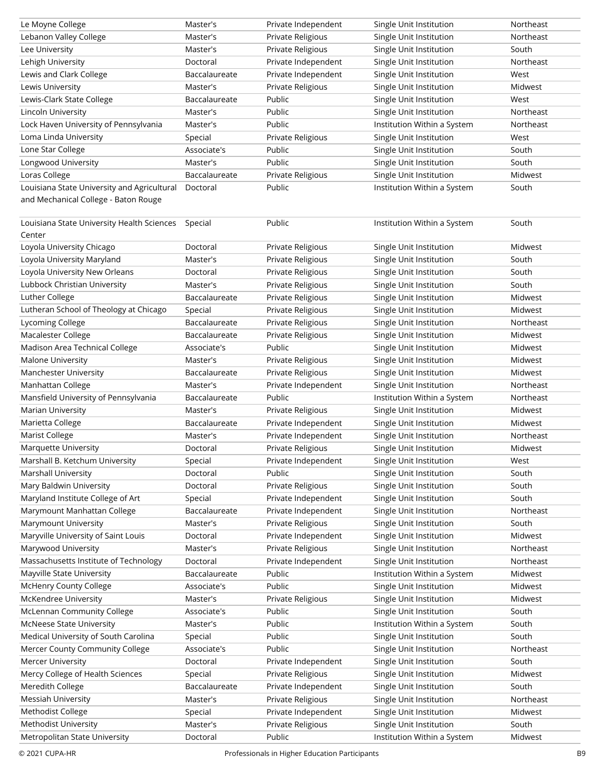| Le Moyne College                            | Master's                  | Private Independent | Single Unit Institution     | Northeast |
|---------------------------------------------|---------------------------|---------------------|-----------------------------|-----------|
| Lebanon Valley College                      | Master's                  | Private Religious   | Single Unit Institution     | Northeast |
| Lee University                              | Master's                  | Private Religious   | Single Unit Institution     | South     |
| Lehigh University                           | Doctoral                  | Private Independent | Single Unit Institution     | Northeast |
| Lewis and Clark College                     | Baccalaureate             | Private Independent | Single Unit Institution     | West      |
| Lewis University                            | Master's                  | Private Religious   | Single Unit Institution     | Midwest   |
| Lewis-Clark State College                   | Baccalaureate             | Public              | Single Unit Institution     | West      |
| Lincoln University                          | Master's                  | Public              | Single Unit Institution     | Northeast |
| Lock Haven University of Pennsylvania       | Master's                  | Public              | Institution Within a System | Northeast |
| Loma Linda University                       | Special                   | Private Religious   | Single Unit Institution     | West      |
| Lone Star College                           | Associate's               | Public              | Single Unit Institution     | South     |
| Longwood University                         | Master's                  | Public              | Single Unit Institution     | South     |
| Loras College                               | Baccalaureate             | Private Religious   | Single Unit Institution     | Midwest   |
| Louisiana State University and Agricultural | Doctoral                  | Public              | Institution Within a System | South     |
| and Mechanical College - Baton Rouge        |                           |                     |                             |           |
| Louisiana State University Health Sciences  | Special                   | Public              | Institution Within a System | South     |
| Center                                      |                           |                     |                             |           |
| Loyola University Chicago                   | Doctoral                  | Private Religious   | Single Unit Institution     | Midwest   |
| Loyola University Maryland                  | Master's                  | Private Religious   | Single Unit Institution     | South     |
| Loyola University New Orleans               | Doctoral                  | Private Religious   | Single Unit Institution     | South     |
| Lubbock Christian University                | Master's                  | Private Religious   | Single Unit Institution     | South     |
| Luther College                              | Baccalaureate             | Private Religious   | Single Unit Institution     | Midwest   |
| Lutheran School of Theology at Chicago      | Special                   | Private Religious   | Single Unit Institution     | Midwest   |
| Lycoming College                            | Baccalaureate             | Private Religious   | Single Unit Institution     | Northeast |
| Macalester College                          | Baccalaureate             | Private Religious   | Single Unit Institution     | Midwest   |
| Madison Area Technical College              | Associate's               | Public              | Single Unit Institution     | Midwest   |
| Malone University                           | Master's                  | Private Religious   | Single Unit Institution     | Midwest   |
| Manchester University                       | Baccalaureate             | Private Religious   | Single Unit Institution     | Midwest   |
|                                             |                           |                     |                             |           |
| Manhattan College                           | Master's                  | Private Independent | Single Unit Institution     | Northeast |
|                                             | Baccalaureate             | Public              |                             | Northeast |
| Mansfield University of Pennsylvania        |                           |                     | Institution Within a System | Midwest   |
| Marian University                           | Master's<br>Baccalaureate | Private Religious   | Single Unit Institution     |           |
| Marietta College                            |                           | Private Independent | Single Unit Institution     | Midwest   |
| Marist College                              | Master's                  | Private Independent | Single Unit Institution     | Northeast |
| Marquette University                        | Doctoral                  | Private Religious   | Single Unit Institution     | Midwest   |
| Marshall B. Ketchum University              | Special                   | Private Independent | Single Unit Institution     | West      |
| Marshall University                         | Doctoral                  | Public              | Single Unit Institution     | South     |
| Mary Baldwin University                     | Doctoral                  | Private Religious   | Single Unit Institution     | South     |
| Maryland Institute College of Art           | Special                   | Private Independent | Single Unit Institution     | South     |
| Marymount Manhattan College                 | Baccalaureate             | Private Independent | Single Unit Institution     | Northeast |
| Marymount University                        | Master's                  | Private Religious   | Single Unit Institution     | South     |
| Maryville University of Saint Louis         | Doctoral                  | Private Independent | Single Unit Institution     | Midwest   |
| Marywood University                         | Master's                  | Private Religious   | Single Unit Institution     | Northeast |
| Massachusetts Institute of Technology       | Doctoral                  | Private Independent | Single Unit Institution     | Northeast |
| Mayville State University                   | Baccalaureate             | Public              | Institution Within a System | Midwest   |
| McHenry County College                      | Associate's               | Public              | Single Unit Institution     | Midwest   |
| McKendree University                        | Master's                  | Private Religious   | Single Unit Institution     | Midwest   |
| McLennan Community College                  | Associate's               | Public              | Single Unit Institution     | South     |
| McNeese State University                    | Master's                  | Public              | Institution Within a System | South     |
| Medical University of South Carolina        | Special                   | Public              | Single Unit Institution     | South     |
| Mercer County Community College             | Associate's               | Public              | Single Unit Institution     | Northeast |
| Mercer University                           | Doctoral                  | Private Independent | Single Unit Institution     | South     |
| Mercy College of Health Sciences            | Special                   | Private Religious   | Single Unit Institution     | Midwest   |
| Meredith College                            | Baccalaureate             | Private Independent | Single Unit Institution     | South     |
| <b>Messiah University</b>                   | Master's                  | Private Religious   | Single Unit Institution     | Northeast |
| Methodist College                           | Special                   | Private Independent | Single Unit Institution     | Midwest   |
| <b>Methodist University</b>                 | Master's                  | Private Religious   | Single Unit Institution     | South     |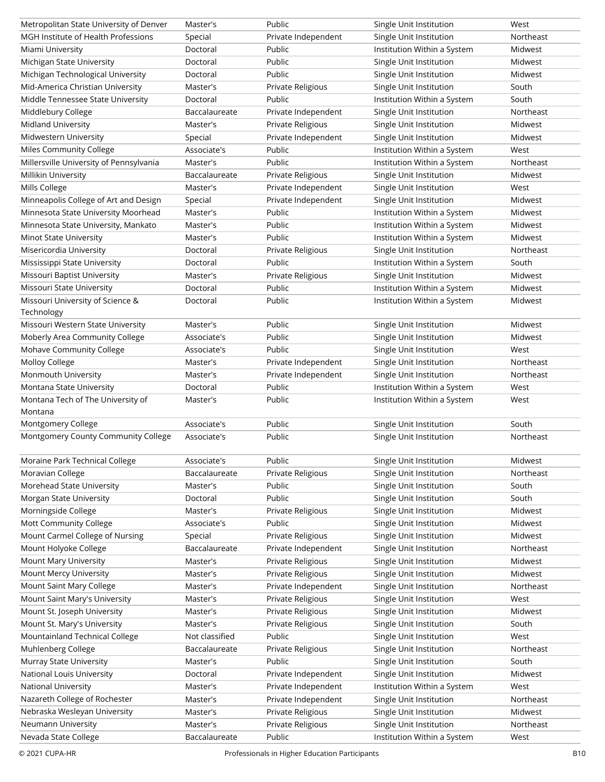| Metropolitan State University of Denver      | Master's       | Public                        | Single Unit Institution     | West      |
|----------------------------------------------|----------------|-------------------------------|-----------------------------|-----------|
| MGH Institute of Health Professions          | Special        | Private Independent           | Single Unit Institution     | Northeast |
| Miami University                             | Doctoral       | Public                        | Institution Within a System | Midwest   |
| Michigan State University                    | Doctoral       | Public                        | Single Unit Institution     | Midwest   |
| Michigan Technological University            | Doctoral       | Public                        | Single Unit Institution     | Midwest   |
| Mid-America Christian University             | Master's       | Private Religious             | Single Unit Institution     | South     |
| Middle Tennessee State University            | Doctoral       | Public                        | Institution Within a System | South     |
| Middlebury College                           | Baccalaureate  | Private Independent           | Single Unit Institution     | Northeast |
| <b>Midland University</b>                    | Master's       | Private Religious             | Single Unit Institution     | Midwest   |
| Midwestern University                        | Special        | Private Independent           | Single Unit Institution     | Midwest   |
| Miles Community College                      | Associate's    | Public                        | Institution Within a System | West      |
| Millersville University of Pennsylvania      | Master's       | Public                        | Institution Within a System | Northeast |
| Millikin University                          | Baccalaureate  | Private Religious             | Single Unit Institution     | Midwest   |
| Mills College                                | Master's       | Private Independent           | Single Unit Institution     | West      |
| Minneapolis College of Art and Design        | Special        | Private Independent           | Single Unit Institution     | Midwest   |
| Minnesota State University Moorhead          | Master's       | Public                        | Institution Within a System | Midwest   |
| Minnesota State University, Mankato          | Master's       | Public                        | Institution Within a System | Midwest   |
| Minot State University                       | Master's       | Public                        | Institution Within a System | Midwest   |
| Misericordia University                      | Doctoral       | Private Religious             | Single Unit Institution     | Northeast |
| Mississippi State University                 | Doctoral       | Public                        | Institution Within a System | South     |
| Missouri Baptist University                  | Master's       | Private Religious             | Single Unit Institution     | Midwest   |
| Missouri State University                    | Doctoral       | Public                        | Institution Within a System | Midwest   |
| Missouri University of Science &             | Doctoral       | Public                        | Institution Within a System | Midwest   |
| Technology                                   |                |                               |                             |           |
| Missouri Western State University            | Master's       | Public                        | Single Unit Institution     | Midwest   |
| Moberly Area Community College               | Associate's    | Public                        | Single Unit Institution     | Midwest   |
| Mohave Community College                     | Associate's    | Public                        | Single Unit Institution     | West      |
| Molloy College                               |                | Private Independent           |                             | Northeast |
|                                              | Master's       |                               | Single Unit Institution     | Northeast |
| Monmouth University                          | Master's       | Private Independent<br>Public | Single Unit Institution     | West      |
| Montana State University                     | Doctoral       |                               | Institution Within a System |           |
| Montana Tech of The University of<br>Montana | Master's       | Public                        | Institution Within a System | West      |
| Montgomery College                           | Associate's    | Public                        | Single Unit Institution     | South     |
| Montgomery County Community College          | Associate's    | Public                        | Single Unit Institution     | Northeast |
|                                              |                |                               |                             |           |
| Moraine Park Technical College               | Associate's    | Public                        | Single Unit Institution     | Midwest   |
| Moravian College                             | Baccalaureate  | Private Religious             | Single Unit Institution     | Northeast |
| Morehead State University                    | Master's       | Public                        | Single Unit Institution     | South     |
| Morgan State University                      | Doctoral       | Public                        | Single Unit Institution     | South     |
| Morningside College                          | Master's       | Private Religious             | Single Unit Institution     | Midwest   |
| Mott Community College                       | Associate's    | Public                        | Single Unit Institution     | Midwest   |
| Mount Carmel College of Nursing              | Special        | Private Religious             | Single Unit Institution     | Midwest   |
| Mount Holyoke College                        | Baccalaureate  | Private Independent           | Single Unit Institution     | Northeast |
| Mount Mary University                        | Master's       | Private Religious             | Single Unit Institution     | Midwest   |
| Mount Mercy University                       | Master's       | Private Religious             | Single Unit Institution     | Midwest   |
| Mount Saint Mary College                     | Master's       | Private Independent           | Single Unit Institution     | Northeast |
| Mount Saint Mary's University                | Master's       | Private Religious             | Single Unit Institution     | West      |
| Mount St. Joseph University                  | Master's       | Private Religious             | Single Unit Institution     | Midwest   |
| Mount St. Mary's University                  | Master's       | Private Religious             | Single Unit Institution     | South     |
| Mountainland Technical College               | Not classified | Public                        | Single Unit Institution     | West      |
| Muhlenberg College                           | Baccalaureate  | Private Religious             | Single Unit Institution     | Northeast |
| Murray State University                      | Master's       | Public                        | Single Unit Institution     | South     |
| National Louis University                    | Doctoral       | Private Independent           | Single Unit Institution     | Midwest   |
| National University                          | Master's       | Private Independent           | Institution Within a System | West      |
| Nazareth College of Rochester                | Master's       | Private Independent           | Single Unit Institution     | Northeast |
| Nebraska Wesleyan University                 | Master's       | Private Religious             | Single Unit Institution     | Midwest   |
| Neumann University                           | Master's       | Private Religious             | Single Unit Institution     | Northeast |
| Nevada State College                         | Baccalaureate  | Public                        | Institution Within a System | West      |
|                                              |                |                               |                             |           |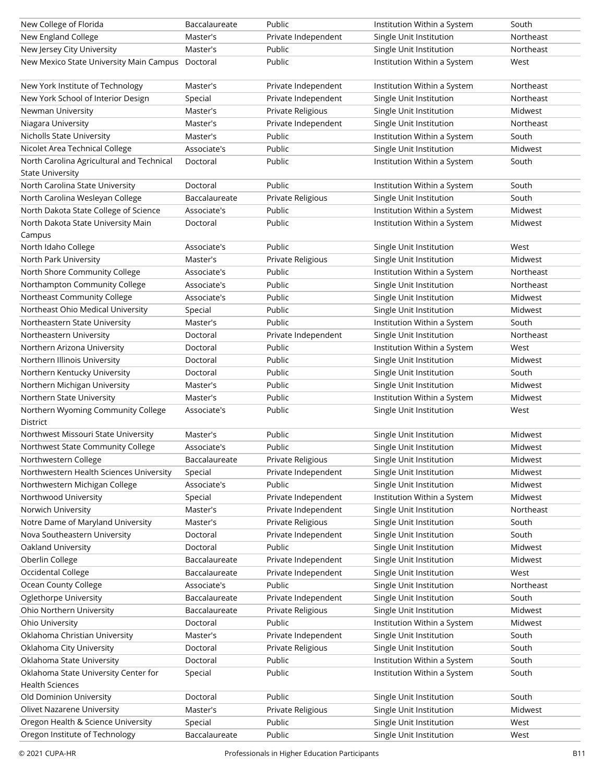| New College of Florida                           | Baccalaureate | Public              | Institution Within a System | South     |
|--------------------------------------------------|---------------|---------------------|-----------------------------|-----------|
| New England College                              | Master's      | Private Independent | Single Unit Institution     | Northeast |
| New Jersey City University                       | Master's      | Public              | Single Unit Institution     | Northeast |
| New Mexico State University Main Campus Doctoral |               | Public              | Institution Within a System | West      |
|                                                  |               |                     |                             |           |
| New York Institute of Technology                 | Master's      | Private Independent | Institution Within a System | Northeast |
| New York School of Interior Design               | Special       | Private Independent | Single Unit Institution     | Northeast |
| Newman University                                | Master's      | Private Religious   | Single Unit Institution     | Midwest   |
| Niagara University                               | Master's      | Private Independent | Single Unit Institution     | Northeast |
| Nicholls State University                        | Master's      | Public              | Institution Within a System | South     |
| Nicolet Area Technical College                   | Associate's   | Public              | Single Unit Institution     | Midwest   |
| North Carolina Agricultural and Technical        | Doctoral      | Public              | Institution Within a System | South     |
| <b>State University</b>                          |               |                     |                             |           |
| North Carolina State University                  | Doctoral      | Public              | Institution Within a System | South     |
| North Carolina Wesleyan College                  | Baccalaureate | Private Religious   | Single Unit Institution     | South     |
| North Dakota State College of Science            | Associate's   | Public              | Institution Within a System | Midwest   |
| North Dakota State University Main               | Doctoral      | Public              | Institution Within a System | Midwest   |
| Campus                                           |               |                     |                             |           |
| North Idaho College                              | Associate's   | Public              | Single Unit Institution     | West      |
| North Park University                            | Master's      | Private Religious   | Single Unit Institution     | Midwest   |
| North Shore Community College                    | Associate's   | Public              | Institution Within a System | Northeast |
| Northampton Community College                    | Associate's   | Public              | Single Unit Institution     | Northeast |
| Northeast Community College                      | Associate's   | Public              | Single Unit Institution     | Midwest   |
| Northeast Ohio Medical University                | Special       | Public              | Single Unit Institution     | Midwest   |
| Northeastern State University                    | Master's      | Public              | Institution Within a System | South     |
| Northeastern University                          | Doctoral      | Private Independent | Single Unit Institution     | Northeast |
| Northern Arizona University                      | Doctoral      | Public              | Institution Within a System | West      |
| Northern Illinois University                     | Doctoral      | Public              | Single Unit Institution     | Midwest   |
| Northern Kentucky University                     | Doctoral      | Public              | Single Unit Institution     | South     |
| Northern Michigan University                     | Master's      | Public              | Single Unit Institution     | Midwest   |
| Northern State University                        | Master's      | Public              | Institution Within a System | Midwest   |
| Northern Wyoming Community College               | Associate's   | Public              | Single Unit Institution     | West      |
| District                                         |               |                     |                             |           |
| Northwest Missouri State University              | Master's      | Public              | Single Unit Institution     | Midwest   |
| Northwest State Community College                | Associate's   | Public              | Single Unit Institution     | Midwest   |
| Northwestern College                             | Baccalaureate | Private Religious   | Single Unit Institution     | Midwest   |
| Northwestern Health Sciences University          | Special       | Private Independent | Single Unit Institution     | Midwest   |
| Northwestern Michigan College                    | Associate's   | Public              | Single Unit Institution     | Midwest   |
| Northwood University                             | Special       | Private Independent | Institution Within a System | Midwest   |
| Norwich University                               | Master's      | Private Independent | Single Unit Institution     | Northeast |
| Notre Dame of Maryland University                | Master's      | Private Religious   | Single Unit Institution     | South     |
| Nova Southeastern University                     | Doctoral      | Private Independent | Single Unit Institution     | South     |
| Oakland University                               | Doctoral      | Public              | Single Unit Institution     | Midwest   |
| Oberlin College                                  | Baccalaureate | Private Independent | Single Unit Institution     | Midwest   |
| Occidental College                               | Baccalaureate | Private Independent | Single Unit Institution     | West      |
| Ocean County College                             | Associate's   | Public              | Single Unit Institution     | Northeast |
| Oglethorpe University                            | Baccalaureate | Private Independent | Single Unit Institution     | South     |
| Ohio Northern University                         | Baccalaureate | Private Religious   | Single Unit Institution     | Midwest   |
| Ohio University                                  | Doctoral      | Public              | Institution Within a System | Midwest   |
| Oklahoma Christian University                    | Master's      | Private Independent | Single Unit Institution     | South     |
| Oklahoma City University                         | Doctoral      | Private Religious   | Single Unit Institution     | South     |
| Oklahoma State University                        | Doctoral      | Public              | Institution Within a System | South     |
| Oklahoma State University Center for             | Special       | Public              | Institution Within a System | South     |
| <b>Health Sciences</b>                           |               |                     |                             |           |
| Old Dominion University                          | Doctoral      | Public              | Single Unit Institution     | South     |
| Olivet Nazarene University                       | Master's      | Private Religious   | Single Unit Institution     | Midwest   |
| Oregon Health & Science University               | Special       | Public              | Single Unit Institution     | West      |
| Oregon Institute of Technology                   | Baccalaureate | Public              | Single Unit Institution     | West      |
|                                                  |               |                     |                             |           |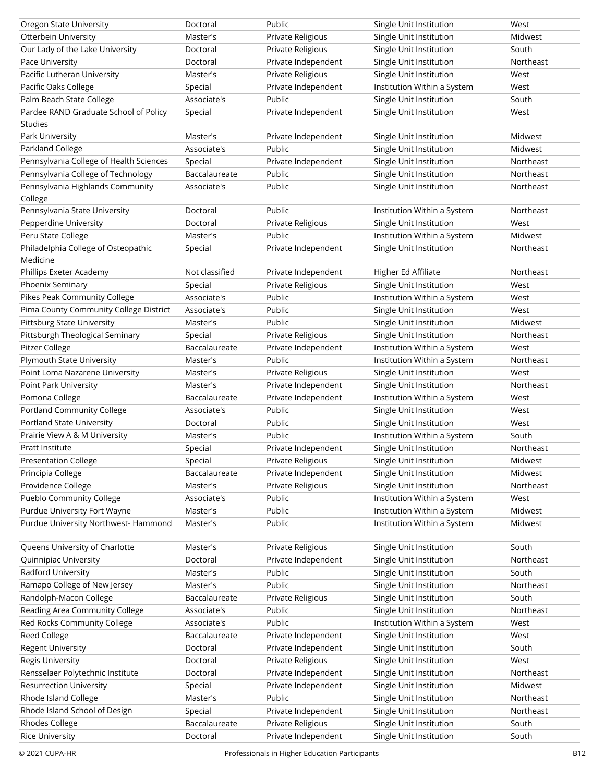| Oregon State University                 | Doctoral       | Public              | Single Unit Institution     | West      |
|-----------------------------------------|----------------|---------------------|-----------------------------|-----------|
| Otterbein University                    | Master's       | Private Religious   | Single Unit Institution     | Midwest   |
| Our Lady of the Lake University         | Doctoral       | Private Religious   | Single Unit Institution     | South     |
| Pace University                         | Doctoral       | Private Independent | Single Unit Institution     | Northeast |
| Pacific Lutheran University             | Master's       | Private Religious   | Single Unit Institution     | West      |
| Pacific Oaks College                    | Special        | Private Independent | Institution Within a System | West      |
| Palm Beach State College                | Associate's    | Public              | Single Unit Institution     | South     |
| Pardee RAND Graduate School of Policy   | Special        | Private Independent | Single Unit Institution     | West      |
| <b>Studies</b>                          |                |                     |                             |           |
| Park University                         | Master's       | Private Independent | Single Unit Institution     | Midwest   |
| Parkland College                        | Associate's    | Public              | Single Unit Institution     | Midwest   |
| Pennsylvania College of Health Sciences | Special        | Private Independent | Single Unit Institution     | Northeast |
| Pennsylvania College of Technology      | Baccalaureate  | Public              | Single Unit Institution     | Northeast |
| Pennsylvania Highlands Community        | Associate's    | Public              | Single Unit Institution     | Northeast |
| College                                 |                |                     |                             |           |
| Pennsylvania State University           | Doctoral       | Public              | Institution Within a System | Northeast |
| Pepperdine University                   | Doctoral       | Private Religious   | Single Unit Institution     | West      |
| Peru State College                      | Master's       | Public              | Institution Within a System | Midwest   |
| Philadelphia College of Osteopathic     | Special        | Private Independent | Single Unit Institution     | Northeast |
| Medicine                                |                |                     |                             |           |
| Phillips Exeter Academy                 | Not classified | Private Independent | Higher Ed Affiliate         | Northeast |
| Phoenix Seminary                        | Special        | Private Religious   | Single Unit Institution     | West      |
| Pikes Peak Community College            | Associate's    | Public              | Institution Within a System | West      |
| Pima County Community College District  | Associate's    | Public              | Single Unit Institution     | West      |
| <b>Pittsburg State University</b>       | Master's       | Public              | Single Unit Institution     | Midwest   |
| Pittsburgh Theological Seminary         | Special        | Private Religious   | Single Unit Institution     | Northeast |
| Pitzer College                          | Baccalaureate  | Private Independent | Institution Within a System | West      |
| Plymouth State University               | Master's       | Public              | Institution Within a System | Northeast |
| Point Loma Nazarene University          | Master's       | Private Religious   | Single Unit Institution     | West      |
| Point Park University                   | Master's       | Private Independent | Single Unit Institution     | Northeast |
| Pomona College                          | Baccalaureate  | Private Independent | Institution Within a System | West      |
| Portland Community College              | Associate's    | Public              | Single Unit Institution     | West      |
| Portland State University               | Doctoral       | Public              | Single Unit Institution     | West      |
| Prairie View A & M University           | Master's       | Public              | Institution Within a System | South     |
| Pratt Institute                         | Special        | Private Independent | Single Unit Institution     | Northeast |
| <b>Presentation College</b>             | Special        | Private Religious   | Single Unit Institution     | Midwest   |
| Principia College                       | Baccalaureate  |                     |                             |           |
|                                         |                | Private Independent | Single Unit Institution     | Midwest   |
| Providence College                      | Master's       | Private Religious   | Single Unit Institution     | Northeast |
| Pueblo Community College                | Associate's    | Public              | Institution Within a System | West      |
| Purdue University Fort Wayne            | Master's       | Public              | Institution Within a System | Midwest   |
| Purdue University Northwest-Hammond     | Master's       | Public              | Institution Within a System | Midwest   |
|                                         |                |                     |                             |           |
| Queens University of Charlotte          | Master's       | Private Religious   | Single Unit Institution     | South     |
| Quinnipiac University                   | Doctoral       | Private Independent | Single Unit Institution     | Northeast |
| Radford University                      | Master's       | Public              | Single Unit Institution     | South     |
| Ramapo College of New Jersey            | Master's       | Public              | Single Unit Institution     | Northeast |
| Randolph-Macon College                  | Baccalaureate  | Private Religious   | Single Unit Institution     | South     |
| Reading Area Community College          | Associate's    | Public              | Single Unit Institution     | Northeast |
| Red Rocks Community College             | Associate's    | Public              | Institution Within a System | West      |
| Reed College                            | Baccalaureate  | Private Independent | Single Unit Institution     | West      |
| <b>Regent University</b>                | Doctoral       | Private Independent | Single Unit Institution     | South     |
| <b>Regis University</b>                 | Doctoral       | Private Religious   | Single Unit Institution     | West      |
| Rensselaer Polytechnic Institute        | Doctoral       | Private Independent | Single Unit Institution     | Northeast |
| <b>Resurrection University</b>          | Special        | Private Independent | Single Unit Institution     | Midwest   |
| Rhode Island College                    | Master's       | Public              | Single Unit Institution     | Northeast |
| Rhode Island School of Design           | Special        | Private Independent | Single Unit Institution     | Northeast |
| Rhodes College                          | Baccalaureate  | Private Religious   | Single Unit Institution     | South     |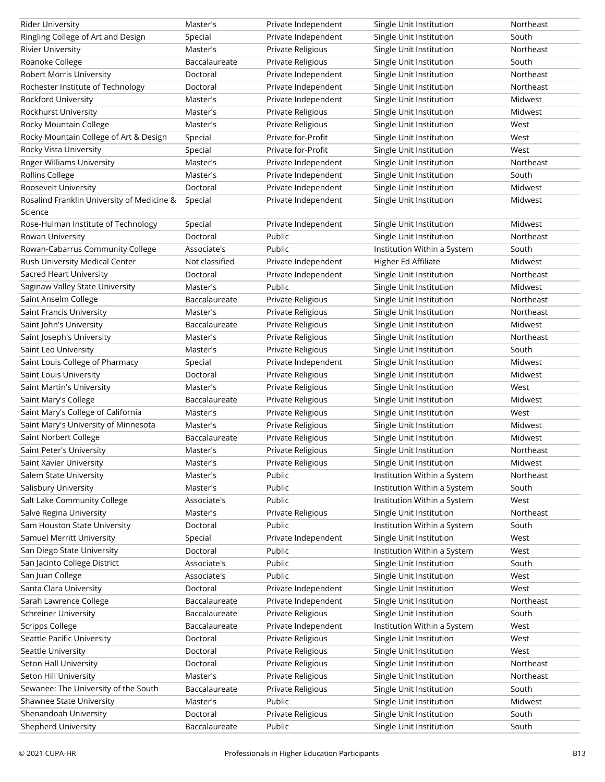| <b>Rider University</b>                    | Master's       | Private Independent | Single Unit Institution     | Northeast |
|--------------------------------------------|----------------|---------------------|-----------------------------|-----------|
| Ringling College of Art and Design         | Special        | Private Independent | Single Unit Institution     | South     |
| <b>Rivier University</b>                   | Master's       | Private Religious   | Single Unit Institution     | Northeast |
| Roanoke College                            | Baccalaureate  | Private Religious   | Single Unit Institution     | South     |
| <b>Robert Morris University</b>            | Doctoral       | Private Independent | Single Unit Institution     | Northeast |
| Rochester Institute of Technology          | Doctoral       | Private Independent | Single Unit Institution     | Northeast |
| Rockford University                        | Master's       | Private Independent | Single Unit Institution     | Midwest   |
| Rockhurst University                       | Master's       | Private Religious   | Single Unit Institution     | Midwest   |
| Rocky Mountain College                     | Master's       | Private Religious   | Single Unit Institution     | West      |
| Rocky Mountain College of Art & Design     | Special        | Private for-Profit  | Single Unit Institution     | West      |
| Rocky Vista University                     | Special        | Private for-Profit  | Single Unit Institution     | West      |
| <b>Roger Williams University</b>           | Master's       | Private Independent | Single Unit Institution     | Northeast |
| Rollins College                            | Master's       | Private Independent | Single Unit Institution     | South     |
| Roosevelt University                       | Doctoral       | Private Independent | Single Unit Institution     | Midwest   |
| Rosalind Franklin University of Medicine & | Special        | Private Independent | Single Unit Institution     | Midwest   |
| Science                                    |                |                     |                             |           |
| Rose-Hulman Institute of Technology        | Special        | Private Independent | Single Unit Institution     | Midwest   |
| Rowan University                           | Doctoral       | Public              | Single Unit Institution     | Northeast |
| Rowan-Cabarrus Community College           | Associate's    | Public              | Institution Within a System | South     |
| Rush University Medical Center             | Not classified | Private Independent | Higher Ed Affiliate         | Midwest   |
| Sacred Heart University                    | Doctoral       | Private Independent | Single Unit Institution     | Northeast |
| Saginaw Valley State University            | Master's       | Public              | Single Unit Institution     | Midwest   |
| Saint Anselm College                       | Baccalaureate  | Private Religious   | Single Unit Institution     | Northeast |
| Saint Francis University                   | Master's       | Private Religious   | Single Unit Institution     | Northeast |
| Saint John's University                    | Baccalaureate  | Private Religious   | Single Unit Institution     | Midwest   |
| Saint Joseph's University                  | Master's       | Private Religious   | Single Unit Institution     | Northeast |
| Saint Leo University                       | Master's       | Private Religious   | Single Unit Institution     | South     |
| Saint Louis College of Pharmacy            | Special        | Private Independent | Single Unit Institution     | Midwest   |
| Saint Louis University                     | Doctoral       | Private Religious   | Single Unit Institution     | Midwest   |
| Saint Martin's University                  | Master's       | Private Religious   | Single Unit Institution     | West      |
| Saint Mary's College                       | Baccalaureate  | Private Religious   | Single Unit Institution     | Midwest   |
| Saint Mary's College of California         | Master's       | Private Religious   | Single Unit Institution     | West      |
| Saint Mary's University of Minnesota       | Master's       | Private Religious   | Single Unit Institution     | Midwest   |
| Saint Norbert College                      | Baccalaureate  | Private Religious   | Single Unit Institution     | Midwest   |
| Saint Peter's University                   | Master's       | Private Religious   | Single Unit Institution     | Northeast |
| Saint Xavier University                    | Master's       | Private Religious   | Single Unit Institution     | Midwest   |
| Salem State University                     | Master's       | Public              | Institution Within a System | Northeast |
| Salisbury University                       | Master's       | Public              | Institution Within a System | South     |
| Salt Lake Community College                | Associate's    | Public              | Institution Within a System | West      |
| Salve Regina University                    | Master's       | Private Religious   | Single Unit Institution     | Northeast |
| Sam Houston State University               | Doctoral       | Public              | Institution Within a System | South     |
| Samuel Merritt University                  | Special        | Private Independent | Single Unit Institution     | West      |
| San Diego State University                 | Doctoral       | Public              | Institution Within a System | West      |
| San Jacinto College District               | Associate's    | Public              | Single Unit Institution     | South     |
| San Juan College                           | Associate's    | Public              | Single Unit Institution     | West      |
| Santa Clara University                     | Doctoral       | Private Independent | Single Unit Institution     | West      |
| Sarah Lawrence College                     | Baccalaureate  | Private Independent | Single Unit Institution     | Northeast |
| <b>Schreiner University</b>                | Baccalaureate  | Private Religious   | Single Unit Institution     | South     |
| <b>Scripps College</b>                     | Baccalaureate  | Private Independent | Institution Within a System | West      |
| Seattle Pacific University                 | Doctoral       | Private Religious   | Single Unit Institution     | West      |
| Seattle University                         | Doctoral       | Private Religious   | Single Unit Institution     | West      |
| Seton Hall University                      | Doctoral       | Private Religious   | Single Unit Institution     | Northeast |
| Seton Hill University                      | Master's       | Private Religious   | Single Unit Institution     | Northeast |
| Sewanee: The University of the South       | Baccalaureate  | Private Religious   | Single Unit Institution     | South     |
| Shawnee State University                   | Master's       | Public              | Single Unit Institution     | Midwest   |
| Shenandoah University                      | Doctoral       | Private Religious   | Single Unit Institution     | South     |
| Shepherd University                        | Baccalaureate  | Public              | Single Unit Institution     | South     |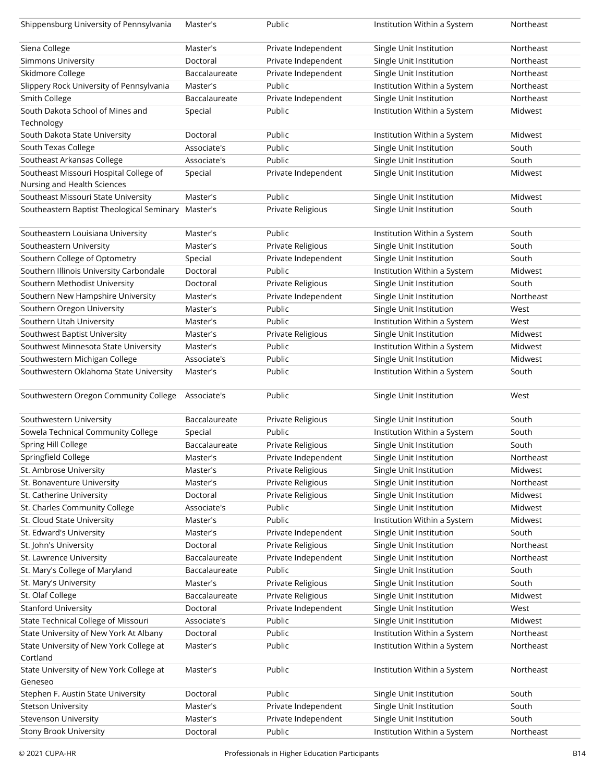| Shippensburg University of Pennsylvania            | Master's      | Public              | Institution Within a System | Northeast |
|----------------------------------------------------|---------------|---------------------|-----------------------------|-----------|
| Siena College                                      | Master's      | Private Independent | Single Unit Institution     | Northeast |
| <b>Simmons University</b>                          | Doctoral      | Private Independent | Single Unit Institution     | Northeast |
| Skidmore College                                   | Baccalaureate | Private Independent | Single Unit Institution     | Northeast |
| Slippery Rock University of Pennsylvania           | Master's      | Public              | Institution Within a System | Northeast |
| Smith College                                      | Baccalaureate | Private Independent | Single Unit Institution     | Northeast |
| South Dakota School of Mines and                   | Special       | Public              | Institution Within a System | Midwest   |
| Technology                                         |               |                     |                             |           |
| South Dakota State University                      | Doctoral      | Public              | Institution Within a System | Midwest   |
| South Texas College                                | Associate's   | Public              | Single Unit Institution     | South     |
| Southeast Arkansas College                         | Associate's   | Public              | Single Unit Institution     | South     |
| Southeast Missouri Hospital College of             | Special       | Private Independent | Single Unit Institution     | Midwest   |
| Nursing and Health Sciences                        |               |                     |                             |           |
| Southeast Missouri State University                | Master's      | Public              | Single Unit Institution     | Midwest   |
| Southeastern Baptist Theological Seminary Master's |               | Private Religious   | Single Unit Institution     | South     |
|                                                    |               |                     |                             |           |
| Southeastern Louisiana University                  | Master's      | Public              | Institution Within a System | South     |
| Southeastern University                            | Master's      | Private Religious   | Single Unit Institution     | South     |
| Southern College of Optometry                      | Special       | Private Independent | Single Unit Institution     | South     |
| Southern Illinois University Carbondale            | Doctoral      | Public              | Institution Within a System | Midwest   |
| Southern Methodist University                      | Doctoral      | Private Religious   | Single Unit Institution     | South     |
| Southern New Hampshire University                  | Master's      | Private Independent | Single Unit Institution     | Northeast |
| Southern Oregon University                         | Master's      | Public              | Single Unit Institution     | West      |
| Southern Utah University                           | Master's      | Public              | Institution Within a System | West      |
| Southwest Baptist University                       | Master's      | Private Religious   | Single Unit Institution     | Midwest   |
| Southwest Minnesota State University               | Master's      | Public              | Institution Within a System | Midwest   |
| Southwestern Michigan College                      | Associate's   | Public              | Single Unit Institution     | Midwest   |
| Southwestern Oklahoma State University             | Master's      | Public              | Institution Within a System | South     |
| Southwestern Oregon Community College              | Associate's   | Public              | Single Unit Institution     | West      |
| Southwestern University                            | Baccalaureate | Private Religious   | Single Unit Institution     | South     |
| Sowela Technical Community College                 | Special       | Public              | Institution Within a System | South     |
| Spring Hill College                                | Baccalaureate | Private Religious   | Single Unit Institution     | South     |
| Springfield College                                | Master's      | Private Independent | Single Unit Institution     | Northeast |
| St. Ambrose University                             | Master's      | Private Religious   | Single Unit Institution     | Midwest   |
| St. Bonaventure University                         | Master's      | Private Religious   | Single Unit Institution     | Northeast |
| St. Catherine University                           | Doctoral      | Private Religious   | Single Unit Institution     | Midwest   |
| St. Charles Community College                      | Associate's   | Public              | Single Unit Institution     | Midwest   |
| St. Cloud State University                         | Master's      | Public              | Institution Within a System | Midwest   |
| St. Edward's University                            | Master's      | Private Independent | Single Unit Institution     | South     |
| St. John's University                              | Doctoral      | Private Religious   | Single Unit Institution     | Northeast |
| St. Lawrence University                            | Baccalaureate | Private Independent | Single Unit Institution     | Northeast |
| St. Mary's College of Maryland                     | Baccalaureate | Public              | Single Unit Institution     | South     |
| St. Mary's University                              | Master's      | Private Religious   | Single Unit Institution     | South     |
| St. Olaf College                                   | Baccalaureate | Private Religious   | Single Unit Institution     | Midwest   |
| <b>Stanford University</b>                         | Doctoral      | Private Independent | Single Unit Institution     | West      |
| <b>State Technical College of Missouri</b>         | Associate's   | Public              | Single Unit Institution     | Midwest   |
| State University of New York At Albany             | Doctoral      | Public              | Institution Within a System | Northeast |
| State University of New York College at            | Master's      | Public              | Institution Within a System | Northeast |
| Cortland                                           |               |                     |                             |           |
| State University of New York College at            | Master's      | Public              | Institution Within a System | Northeast |
| Geneseo                                            |               |                     |                             |           |
| Stephen F. Austin State University                 | Doctoral      | Public              | Single Unit Institution     | South     |
| <b>Stetson University</b>                          | Master's      | Private Independent | Single Unit Institution     | South     |
| <b>Stevenson University</b>                        | Master's      | Private Independent | Single Unit Institution     | South     |
| <b>Stony Brook University</b>                      | Doctoral      | Public              | Institution Within a System | Northeast |
|                                                    |               |                     |                             |           |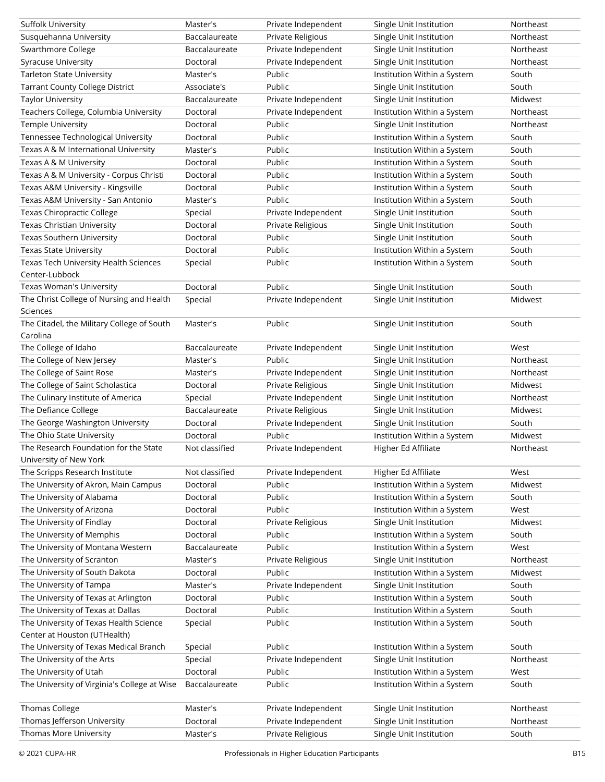| Suffolk University                           | Master's       | Private Independent | Single Unit Institution     | Northeast |
|----------------------------------------------|----------------|---------------------|-----------------------------|-----------|
| Susquehanna University                       | Baccalaureate  | Private Religious   | Single Unit Institution     | Northeast |
| Swarthmore College                           | Baccalaureate  | Private Independent | Single Unit Institution     | Northeast |
| <b>Syracuse University</b>                   | Doctoral       | Private Independent | Single Unit Institution     | Northeast |
| <b>Tarleton State University</b>             | Master's       | Public              | Institution Within a System | South     |
| <b>Tarrant County College District</b>       | Associate's    | Public              | Single Unit Institution     | South     |
| <b>Taylor University</b>                     | Baccalaureate  | Private Independent | Single Unit Institution     | Midwest   |
| Teachers College, Columbia University        | Doctoral       | Private Independent | Institution Within a System | Northeast |
| Temple University                            | Doctoral       | Public              | Single Unit Institution     | Northeast |
| Tennessee Technological University           | Doctoral       | Public              | Institution Within a System | South     |
| Texas A & M International University         | Master's       | Public              | Institution Within a System | South     |
| Texas A & M University                       | Doctoral       | Public              | Institution Within a System | South     |
| Texas A & M University - Corpus Christi      | Doctoral       | Public              | Institution Within a System | South     |
| Texas A&M University - Kingsville            | Doctoral       | Public              | Institution Within a System | South     |
| Texas A&M University - San Antonio           | Master's       | Public              | Institution Within a System | South     |
| <b>Texas Chiropractic College</b>            | Special        | Private Independent | Single Unit Institution     | South     |
| Texas Christian University                   | Doctoral       | Private Religious   | Single Unit Institution     | South     |
| Texas Southern University                    | Doctoral       | Public              | Single Unit Institution     | South     |
| <b>Texas State University</b>                | Doctoral       | Public              | Institution Within a System | South     |
| Texas Tech University Health Sciences        | Special        | Public              | Institution Within a System | South     |
| Center-Lubbock                               |                |                     |                             |           |
| Texas Woman's University                     | Doctoral       | Public              | Single Unit Institution     | South     |
| The Christ College of Nursing and Health     | Special        | Private Independent | Single Unit Institution     | Midwest   |
| Sciences                                     |                |                     |                             |           |
| The Citadel, the Military College of South   | Master's       | Public              | Single Unit Institution     | South     |
| Carolina                                     |                |                     |                             |           |
| The College of Idaho                         | Baccalaureate  | Private Independent | Single Unit Institution     | West      |
| The College of New Jersey                    | Master's       | Public              | Single Unit Institution     | Northeast |
| The College of Saint Rose                    | Master's       | Private Independent | Single Unit Institution     | Northeast |
| The College of Saint Scholastica             | Doctoral       | Private Religious   | Single Unit Institution     | Midwest   |
| The Culinary Institute of America            | Special        | Private Independent | Single Unit Institution     | Northeast |
| The Defiance College                         | Baccalaureate  | Private Religious   | Single Unit Institution     | Midwest   |
| The George Washington University             | Doctoral       | Private Independent | Single Unit Institution     | South     |
| The Ohio State University                    | Doctoral       | Public              | Institution Within a System | Midwest   |
| The Research Foundation for the State        | Not classified | Private Independent | Higher Ed Affiliate         | Northeast |
| University of New York                       |                |                     |                             |           |
| The Scripps Research Institute               | Not classified | Private Independent | Higher Ed Affiliate         | West      |
| The University of Akron, Main Campus         | Doctoral       | Public              | Institution Within a System | Midwest   |
| The University of Alabama                    | Doctoral       | Public              | Institution Within a System | South     |
| The University of Arizona                    | Doctoral       | Public              | Institution Within a System | West      |
| The University of Findlay                    | Doctoral       | Private Religious   | Single Unit Institution     | Midwest   |
| The University of Memphis                    | Doctoral       | Public              | Institution Within a System | South     |
| The University of Montana Western            | Baccalaureate  | Public              | Institution Within a System | West      |
| The University of Scranton                   | Master's       | Private Religious   | Single Unit Institution     | Northeast |
| The University of South Dakota               | Doctoral       | Public              | Institution Within a System | Midwest   |
| The University of Tampa                      | Master's       | Private Independent | Single Unit Institution     | South     |
| The University of Texas at Arlington         | Doctoral       | Public              | Institution Within a System | South     |
| The University of Texas at Dallas            | Doctoral       | Public              | Institution Within a System | South     |
| The University of Texas Health Science       | Special        | Public              | Institution Within a System | South     |
| Center at Houston (UTHealth)                 |                |                     |                             |           |
| The University of Texas Medical Branch       | Special        | Public              | Institution Within a System | South     |
| The University of the Arts                   | Special        | Private Independent | Single Unit Institution     | Northeast |
| The University of Utah                       | Doctoral       | Public              | Institution Within a System | West      |
| The University of Virginia's College at Wise | Baccalaureate  | Public              | Institution Within a System | South     |
|                                              |                |                     |                             |           |
| Thomas College                               | Master's       | Private Independent | Single Unit Institution     | Northeast |
| Thomas Jefferson University                  | Doctoral       | Private Independent | Single Unit Institution     | Northeast |
| Thomas More University                       | Master's       | Private Religious   | Single Unit Institution     | South     |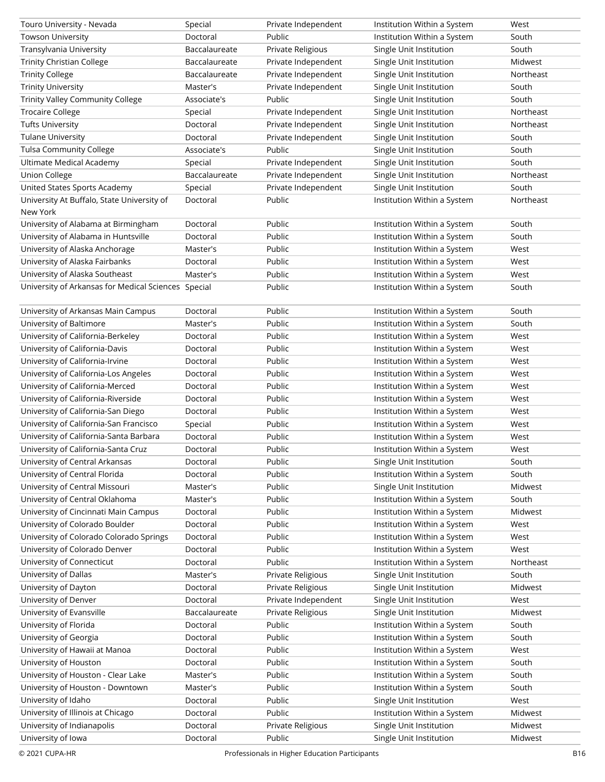| Touro University - Nevada                           | Special       | Private Independent | Institution Within a System | West      |
|-----------------------------------------------------|---------------|---------------------|-----------------------------|-----------|
| <b>Towson University</b>                            | Doctoral      | Public              | Institution Within a System | South     |
| Transylvania University                             | Baccalaureate | Private Religious   | Single Unit Institution     | South     |
| <b>Trinity Christian College</b>                    | Baccalaureate | Private Independent | Single Unit Institution     | Midwest   |
| <b>Trinity College</b>                              | Baccalaureate | Private Independent | Single Unit Institution     | Northeast |
| <b>Trinity University</b>                           | Master's      | Private Independent | Single Unit Institution     | South     |
| <b>Trinity Valley Community College</b>             | Associate's   | Public              | Single Unit Institution     | South     |
| <b>Trocaire College</b>                             | Special       | Private Independent | Single Unit Institution     | Northeast |
| <b>Tufts University</b>                             | Doctoral      | Private Independent | Single Unit Institution     | Northeast |
| <b>Tulane University</b>                            | Doctoral      | Private Independent | Single Unit Institution     | South     |
| <b>Tulsa Community College</b>                      | Associate's   | Public              | Single Unit Institution     | South     |
| Ultimate Medical Academy                            | Special       | Private Independent | Single Unit Institution     | South     |
| <b>Union College</b>                                | Baccalaureate | Private Independent | Single Unit Institution     | Northeast |
| United States Sports Academy                        | Special       | Private Independent | Single Unit Institution     | South     |
| University At Buffalo, State University of          | Doctoral      | Public              | Institution Within a System | Northeast |
| New York                                            |               |                     |                             |           |
| University of Alabama at Birmingham                 | Doctoral      | Public              | Institution Within a System | South     |
| University of Alabama in Huntsville                 | Doctoral      | Public              | Institution Within a System | South     |
| University of Alaska Anchorage                      | Master's      | Public              | Institution Within a System | West      |
|                                                     |               | Public              |                             |           |
| University of Alaska Fairbanks                      | Doctoral      |                     | Institution Within a System | West      |
| University of Alaska Southeast                      | Master's      | Public              | Institution Within a System | West      |
| University of Arkansas for Medical Sciences Special |               | Public              | Institution Within a System | South     |
|                                                     |               |                     |                             |           |
| University of Arkansas Main Campus                  | Doctoral      | Public              | Institution Within a System | South     |
| University of Baltimore                             | Master's      | Public              | Institution Within a System | South     |
| University of California-Berkeley                   | Doctoral      | Public              | Institution Within a System | West      |
| University of California-Davis                      | Doctoral      | Public              | Institution Within a System | West      |
| University of California-Irvine                     | Doctoral      | Public              | Institution Within a System | West      |
| University of California-Los Angeles                | Doctoral      | Public              | Institution Within a System | West      |
| University of California-Merced                     | Doctoral      | Public              | Institution Within a System | West      |
| University of California-Riverside                  | Doctoral      | Public              | Institution Within a System | West      |
| University of California-San Diego                  | Doctoral      | Public              | Institution Within a System | West      |
| University of California-San Francisco              | Special       | Public              | Institution Within a System | West      |
| University of California-Santa Barbara              | Doctoral      | Public              | Institution Within a System | West      |
| University of California-Santa Cruz                 | Doctoral      | Public              | Institution Within a System | West      |
| University of Central Arkansas                      | Doctoral      | Public              | Single Unit Institution     | South     |
| University of Central Florida                       | Doctoral      | Public              | Institution Within a System | South     |
| University of Central Missouri                      | Master's      | Public              | Single Unit Institution     | Midwest   |
| University of Central Oklahoma                      | Master's      | Public              | Institution Within a System | South     |
| University of Cincinnati Main Campus                | Doctoral      | Public              | Institution Within a System | Midwest   |
| University of Colorado Boulder                      | Doctoral      | Public              | Institution Within a System | West      |
| University of Colorado Colorado Springs             | Doctoral      | Public              | Institution Within a System | West      |
| University of Colorado Denver                       | Doctoral      | Public              | Institution Within a System | West      |
| University of Connecticut                           | Doctoral      | Public              | Institution Within a System | Northeast |
| University of Dallas                                | Master's      | Private Religious   | Single Unit Institution     | South     |
| University of Dayton                                | Doctoral      | Private Religious   | Single Unit Institution     | Midwest   |
| University of Denver                                | Doctoral      | Private Independent | Single Unit Institution     | West      |
| University of Evansville                            | Baccalaureate | Private Religious   | Single Unit Institution     | Midwest   |
| University of Florida                               | Doctoral      | Public              | Institution Within a System | South     |
| University of Georgia                               | Doctoral      | Public              | Institution Within a System | South     |
| University of Hawaii at Manoa                       | Doctoral      | Public              | Institution Within a System | West      |
| University of Houston                               | Doctoral      | Public              | Institution Within a System | South     |
|                                                     |               |                     |                             |           |
| University of Houston - Clear Lake                  | Master's      | Public              | Institution Within a System | South     |
| University of Houston - Downtown                    | Master's      | Public              | Institution Within a System | South     |
| University of Idaho                                 | Doctoral      | Public              | Single Unit Institution     | West      |
| University of Illinois at Chicago                   | Doctoral      | Public              | Institution Within a System | Midwest   |
| University of Indianapolis                          | Doctoral      | Private Religious   | Single Unit Institution     | Midwest   |
| University of Iowa                                  | Doctoral      | Public              | Single Unit Institution     | Midwest   |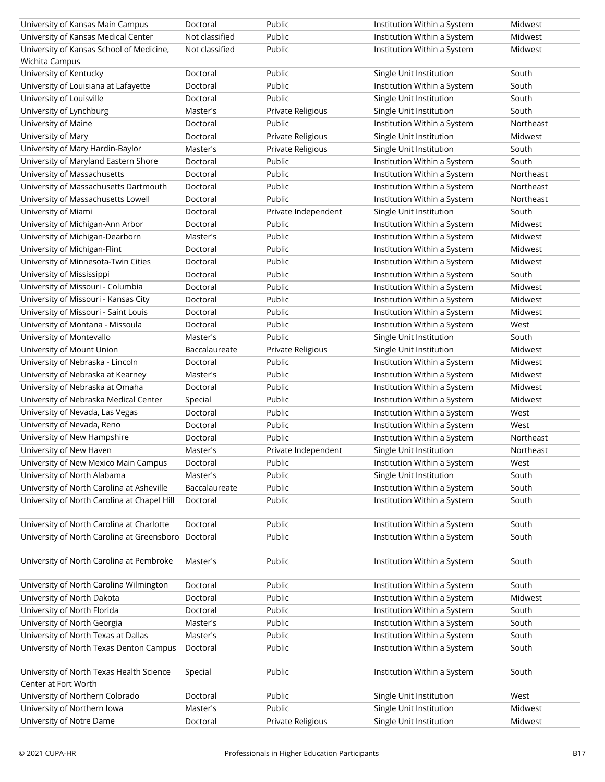| University of Kansas Main Campus                                 | Doctoral                  | Public              | Institution Within a System | Midwest        |
|------------------------------------------------------------------|---------------------------|---------------------|-----------------------------|----------------|
| University of Kansas Medical Center                              | Not classified            | Public              | Institution Within a System | Midwest        |
| University of Kansas School of Medicine,                         | Not classified            | Public              | Institution Within a System | Midwest        |
| Wichita Campus                                                   |                           |                     |                             |                |
| University of Kentucky                                           | Doctoral                  | Public              | Single Unit Institution     | South          |
| University of Louisiana at Lafayette                             | Doctoral                  | Public              | Institution Within a System | South          |
| University of Louisville                                         | Doctoral                  | Public              | Single Unit Institution     | South          |
| University of Lynchburg                                          | Master's                  | Private Religious   | Single Unit Institution     | South          |
| University of Maine                                              | Doctoral                  | Public              | Institution Within a System | Northeast      |
| University of Mary                                               | Doctoral                  | Private Religious   | Single Unit Institution     | Midwest        |
| University of Mary Hardin-Baylor                                 | Master's                  | Private Religious   | Single Unit Institution     | South          |
| University of Maryland Eastern Shore                             | Doctoral                  | Public              | Institution Within a System | South          |
| University of Massachusetts                                      | Doctoral                  | Public              | Institution Within a System | Northeast      |
| University of Massachusetts Dartmouth                            | Doctoral                  | Public              | Institution Within a System | Northeast      |
| University of Massachusetts Lowell                               | Doctoral                  | Public              | Institution Within a System | Northeast      |
| University of Miami                                              | Doctoral                  | Private Independent | Single Unit Institution     | South          |
| University of Michigan-Ann Arbor                                 | Doctoral                  | Public              | Institution Within a System | Midwest        |
| University of Michigan-Dearborn                                  | Master's                  | Public              | Institution Within a System | Midwest        |
| University of Michigan-Flint                                     | Doctoral                  | Public              | Institution Within a System | Midwest        |
| University of Minnesota-Twin Cities                              | Doctoral                  | Public              | Institution Within a System | Midwest        |
| University of Mississippi                                        | Doctoral                  | Public              | Institution Within a System | South          |
| University of Missouri - Columbia                                | Doctoral                  | Public              | Institution Within a System | Midwest        |
| University of Missouri - Kansas City                             | Doctoral                  | Public              | Institution Within a System | Midwest        |
| University of Missouri - Saint Louis                             | Doctoral                  | Public              | Institution Within a System | Midwest        |
| University of Montana - Missoula                                 | Doctoral                  | Public              | Institution Within a System | West           |
| University of Montevallo                                         | Master's                  | Public              | Single Unit Institution     | South          |
| University of Mount Union                                        | Baccalaureate             | Private Religious   | Single Unit Institution     | Midwest        |
| University of Nebraska - Lincoln                                 | Doctoral                  | Public              | Institution Within a System | Midwest        |
| University of Nebraska at Kearney                                | Master's                  | Public              | Institution Within a System | Midwest        |
| University of Nebraska at Omaha                                  | Doctoral                  | Public              | Institution Within a System | Midwest        |
| University of Nebraska Medical Center                            | Special                   | Public              | Institution Within a System | Midwest        |
| University of Nevada, Las Vegas                                  | Doctoral                  | Public              | Institution Within a System | West           |
| University of Nevada, Reno                                       | Doctoral                  | Public              | Institution Within a System | West           |
| University of New Hampshire                                      | Doctoral                  | Public              | Institution Within a System | Northeast      |
| University of New Haven                                          | Master's                  | Private Independent | Single Unit Institution     | Northeast      |
| University of New Mexico Main Campus                             |                           | Public              | Institution Within a System | West           |
| University of North Alabama                                      | Doctoral                  | Public              | Single Unit Institution     |                |
| University of North Carolina at Asheville                        | Master's<br>Baccalaureate | Public              | Institution Within a System | South<br>South |
| University of North Carolina at Chapel Hill                      | Doctoral                  | Public              |                             | South          |
|                                                                  |                           |                     | Institution Within a System |                |
| University of North Carolina at Charlotte                        | Doctoral                  | Public              | Institution Within a System | South          |
| University of North Carolina at Greensboro                       | Doctoral                  | Public              | Institution Within a System | South          |
| University of North Carolina at Pembroke                         | Master's                  | Public              | Institution Within a System | South          |
| University of North Carolina Wilmington                          | Doctoral                  | Public              | Institution Within a System | South          |
| University of North Dakota                                       | Doctoral                  | Public              | Institution Within a System | Midwest        |
| University of North Florida                                      | Doctoral                  | Public              | Institution Within a System | South          |
| University of North Georgia                                      | Master's                  | Public              | Institution Within a System | South          |
| University of North Texas at Dallas                              | Master's                  | Public              | Institution Within a System | South          |
| University of North Texas Denton Campus                          | Doctoral                  | Public              | Institution Within a System | South          |
|                                                                  |                           |                     |                             |                |
| University of North Texas Health Science<br>Center at Fort Worth | Special                   | Public              | Institution Within a System | South          |
| University of Northern Colorado                                  | Doctoral                  | Public              | Single Unit Institution     | West           |
| University of Northern Iowa                                      | Master's                  | Public              | Single Unit Institution     | Midwest        |
| University of Notre Dame                                         | Doctoral                  | Private Religious   | Single Unit Institution     | Midwest        |
|                                                                  |                           |                     |                             |                |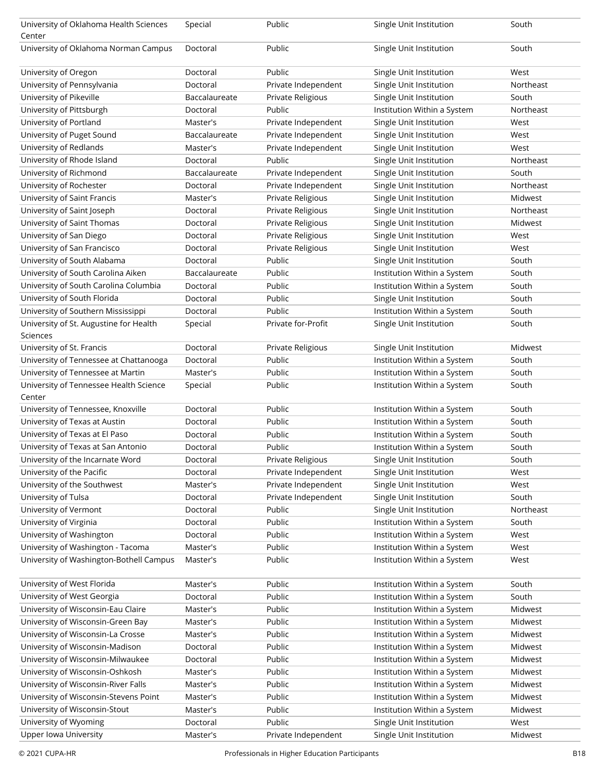| University of Oklahoma Health Sciences<br>Center | Special       | Public              | Single Unit Institution     | South     |
|--------------------------------------------------|---------------|---------------------|-----------------------------|-----------|
| University of Oklahoma Norman Campus             | Doctoral      | Public              | Single Unit Institution     | South     |
|                                                  |               |                     |                             |           |
| University of Oregon                             | Doctoral      | Public              | Single Unit Institution     | West      |
| University of Pennsylvania                       | Doctoral      | Private Independent | Single Unit Institution     | Northeast |
| University of Pikeville                          | Baccalaureate | Private Religious   | Single Unit Institution     | South     |
| University of Pittsburgh                         | Doctoral      | Public              | Institution Within a System | Northeast |
| University of Portland                           | Master's      | Private Independent | Single Unit Institution     | West      |
| University of Puget Sound                        | Baccalaureate | Private Independent | Single Unit Institution     | West      |
| University of Redlands                           | Master's      | Private Independent | Single Unit Institution     | West      |
| University of Rhode Island                       | Doctoral      | Public              | Single Unit Institution     | Northeast |
| University of Richmond                           | Baccalaureate | Private Independent | Single Unit Institution     | South     |
| University of Rochester                          | Doctoral      | Private Independent | Single Unit Institution     | Northeast |
| University of Saint Francis                      | Master's      | Private Religious   | Single Unit Institution     | Midwest   |
| University of Saint Joseph                       | Doctoral      | Private Religious   | Single Unit Institution     | Northeast |
| University of Saint Thomas                       | Doctoral      | Private Religious   | Single Unit Institution     | Midwest   |
| University of San Diego                          | Doctoral      | Private Religious   | Single Unit Institution     | West      |
| University of San Francisco                      | Doctoral      | Private Religious   | Single Unit Institution     | West      |
| University of South Alabama                      | Doctoral      | Public              | Single Unit Institution     | South     |
| University of South Carolina Aiken               | Baccalaureate | Public              | Institution Within a System | South     |
| University of South Carolina Columbia            | Doctoral      | Public              | Institution Within a System | South     |
| University of South Florida                      | Doctoral      | Public              | Single Unit Institution     | South     |
| University of Southern Mississippi               | Doctoral      | Public              | Institution Within a System | South     |
| University of St. Augustine for Health           | Special       | Private for-Profit  | Single Unit Institution     | South     |
| Sciences                                         |               |                     |                             |           |
| University of St. Francis                        | Doctoral      | Private Religious   | Single Unit Institution     | Midwest   |
| University of Tennessee at Chattanooga           | Doctoral      | Public              | Institution Within a System | South     |
| University of Tennessee at Martin                | Master's      | Public              | Institution Within a System | South     |
| University of Tennessee Health Science           | Special       | Public              | Institution Within a System | South     |
| Center                                           |               |                     |                             |           |
| University of Tennessee, Knoxville               | Doctoral      | Public              | Institution Within a System | South     |
| University of Texas at Austin                    | Doctoral      | Public              | Institution Within a System | South     |
| University of Texas at El Paso                   | Doctoral      | Public              | Institution Within a System | South     |
| University of Texas at San Antonio               | Doctoral      | Public              | Institution Within a System | South     |
| University of the Incarnate Word                 | Doctoral      | Private Religious   | Single Unit Institution     | South     |
| University of the Pacific                        | Doctoral      | Private Independent | Single Unit Institution     | West      |
| University of the Southwest                      | Master's      | Private Independent | Single Unit Institution     | West      |
| University of Tulsa                              | Doctoral      | Private Independent | Single Unit Institution     | South     |
| University of Vermont                            | Doctoral      | Public              | Single Unit Institution     | Northeast |
| University of Virginia                           | Doctoral      | Public              | Institution Within a System | South     |
| University of Washington                         | Doctoral      | Public              | Institution Within a System | West      |
| University of Washington - Tacoma                | Master's      | Public              | Institution Within a System | West      |
| University of Washington-Bothell Campus          | Master's      | Public              | Institution Within a System | West      |
|                                                  |               |                     |                             |           |
| University of West Florida                       | Master's      | Public              | Institution Within a System | South     |
| University of West Georgia                       | Doctoral      | Public              | Institution Within a System | South     |
| University of Wisconsin-Eau Claire               | Master's      | Public              | Institution Within a System | Midwest   |
| University of Wisconsin-Green Bay                | Master's      | Public              | Institution Within a System | Midwest   |
| University of Wisconsin-La Crosse                | Master's      | Public              | Institution Within a System | Midwest   |
| University of Wisconsin-Madison                  | Doctoral      | Public              | Institution Within a System | Midwest   |
| University of Wisconsin-Milwaukee                | Doctoral      | Public              | Institution Within a System | Midwest   |
| University of Wisconsin-Oshkosh                  | Master's      | Public              | Institution Within a System | Midwest   |
| University of Wisconsin-River Falls              | Master's      | Public              | Institution Within a System | Midwest   |
| University of Wisconsin-Stevens Point            | Master's      | Public              | Institution Within a System | Midwest   |
| University of Wisconsin-Stout                    | Master's      | Public              | Institution Within a System | Midwest   |
| University of Wyoming                            | Doctoral      | Public              | Single Unit Institution     | West      |
| Upper Iowa University                            | Master's      | Private Independent | Single Unit Institution     | Midwest   |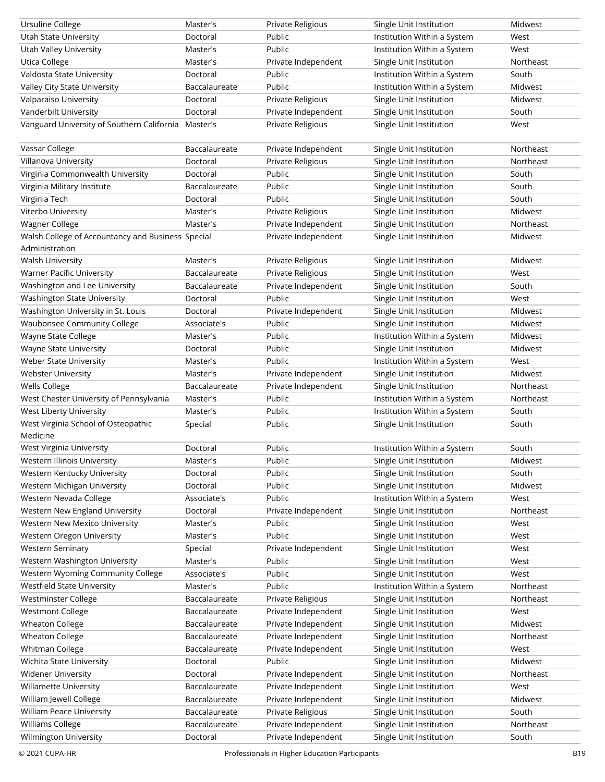| Ursuline College                                    | Master's                  | Private Religious                          | Single Unit Institution                            | Midwest            |
|-----------------------------------------------------|---------------------------|--------------------------------------------|----------------------------------------------------|--------------------|
| Utah State University                               | Doctoral                  | Public                                     | Institution Within a System                        | West               |
| Utah Valley University                              | Master's                  | Public                                     | Institution Within a System                        | West               |
| <b>Utica College</b>                                | Master's                  | Private Independent                        | Single Unit Institution                            | Northeast          |
| Valdosta State University                           | Doctoral                  | Public                                     | Institution Within a System                        | South              |
| Valley City State University                        | Baccalaureate             | Public                                     | Institution Within a System                        | Midwest            |
| Valparaiso University                               | Doctoral                  | Private Religious                          | Single Unit Institution                            | Midwest            |
| Vanderbilt University                               | Doctoral                  | Private Independent                        | Single Unit Institution                            | South              |
| Vanguard University of Southern California Master's |                           | Private Religious                          | Single Unit Institution                            | West               |
|                                                     |                           |                                            |                                                    |                    |
| Vassar College                                      | Baccalaureate             | Private Independent                        | Single Unit Institution                            | Northeast          |
| Villanova University                                | Doctoral                  | Private Religious                          | Single Unit Institution                            | Northeast          |
| Virginia Commonwealth University                    | Doctoral                  | Public                                     | Single Unit Institution                            | South              |
| Virginia Military Institute                         | Baccalaureate             | Public                                     | Single Unit Institution                            | South              |
| Virginia Tech                                       | Doctoral                  | Public                                     | Single Unit Institution                            | South              |
| Viterbo University                                  | Master's                  | Private Religious                          | Single Unit Institution                            | Midwest            |
| Wagner College                                      | Master's                  | Private Independent                        | Single Unit Institution                            | Northeast          |
| Walsh College of Accountancy and Business Special   |                           | Private Independent                        | Single Unit Institution                            | Midwest            |
| Administration                                      |                           |                                            |                                                    |                    |
| <b>Walsh University</b>                             | Master's                  | Private Religious                          | Single Unit Institution                            | Midwest            |
| Warner Pacific University                           | Baccalaureate             | Private Religious                          | Single Unit Institution                            | West               |
| Washington and Lee University                       | Baccalaureate             | Private Independent                        | Single Unit Institution                            | South              |
| Washington State University                         | Doctoral                  | Public                                     | Single Unit Institution                            | West               |
| Washington University in St. Louis                  | Doctoral                  | Private Independent                        | Single Unit Institution                            | Midwest            |
| <b>Waubonsee Community College</b>                  | Associate's               | Public                                     | Single Unit Institution                            | Midwest            |
| Wayne State College                                 | Master's                  | Public                                     | Institution Within a System                        | Midwest            |
| Wayne State University                              | Doctoral                  | Public                                     | Single Unit Institution                            | Midwest            |
| Weber State University                              | Master's                  | Public                                     | Institution Within a System                        | West               |
| <b>Webster University</b>                           | Master's                  | Private Independent                        | Single Unit Institution                            | Midwest            |
|                                                     |                           |                                            |                                                    |                    |
|                                                     |                           |                                            |                                                    |                    |
| Wells College                                       | Baccalaureate             | Private Independent                        | Single Unit Institution                            | Northeast          |
| West Chester University of Pennsylvania             | Master's                  | Public                                     | Institution Within a System                        | Northeast          |
| West Liberty University                             | Master's                  | Public                                     | Institution Within a System                        | South              |
| West Virginia School of Osteopathic                 | Special                   | Public                                     | Single Unit Institution                            | South              |
| Medicine                                            |                           |                                            |                                                    |                    |
| West Virginia University                            | Doctoral                  | Public                                     | Institution Within a System                        | South              |
| Western Illinois University                         | Master's                  | Public                                     | Single Unit Institution                            | Midwest            |
| Western Kentucky University                         | Doctoral                  | Public                                     | Single Unit Institution                            | South              |
| Western Michigan University                         | Doctoral                  | Public                                     | Single Unit Institution                            | Midwest            |
| Western Nevada College                              | Associate's               | Public                                     | Institution Within a System                        | West               |
| Western New England University                      | Doctoral                  | Private Independent                        | Single Unit Institution                            | Northeast          |
| Western New Mexico University                       | Master's                  | Public                                     | Single Unit Institution                            | West               |
| Western Oregon University                           | Master's                  | Public                                     | Single Unit Institution                            | West               |
| <b>Western Seminary</b>                             | Special                   | Private Independent                        | Single Unit Institution                            | West               |
| Western Washington University                       | Master's                  | Public                                     | Single Unit Institution                            | West               |
| Western Wyoming Community College                   | Associate's               | Public                                     | Single Unit Institution                            | West               |
| Westfield State University                          | Master's                  | Public                                     | Institution Within a System                        | Northeast          |
| Westminster College                                 | Baccalaureate             | Private Religious                          | Single Unit Institution                            | Northeast          |
| <b>Westmont College</b>                             | Baccalaureate             | Private Independent                        | Single Unit Institution                            | West               |
| <b>Wheaton College</b>                              | Baccalaureate             | Private Independent                        | Single Unit Institution                            | Midwest            |
| <b>Wheaton College</b>                              | Baccalaureate             | Private Independent                        | Single Unit Institution                            | Northeast          |
| Whitman College                                     | Baccalaureate             | Private Independent                        | Single Unit Institution                            | West               |
| Wichita State University                            | Doctoral                  | Public                                     | Single Unit Institution                            | Midwest            |
| <b>Widener University</b>                           | Doctoral                  | Private Independent                        | Single Unit Institution                            | Northeast          |
| Willamette University                               | Baccalaureate             | Private Independent                        | Single Unit Institution                            | West               |
| William Jewell College                              | Baccalaureate             | Private Independent                        | Single Unit Institution                            | Midwest            |
| William Peace University                            | Baccalaureate             | Private Religious                          | Single Unit Institution                            | South              |
| Williams College<br>Wilmington University           | Baccalaureate<br>Doctoral | Private Independent<br>Private Independent | Single Unit Institution<br>Single Unit Institution | Northeast<br>South |